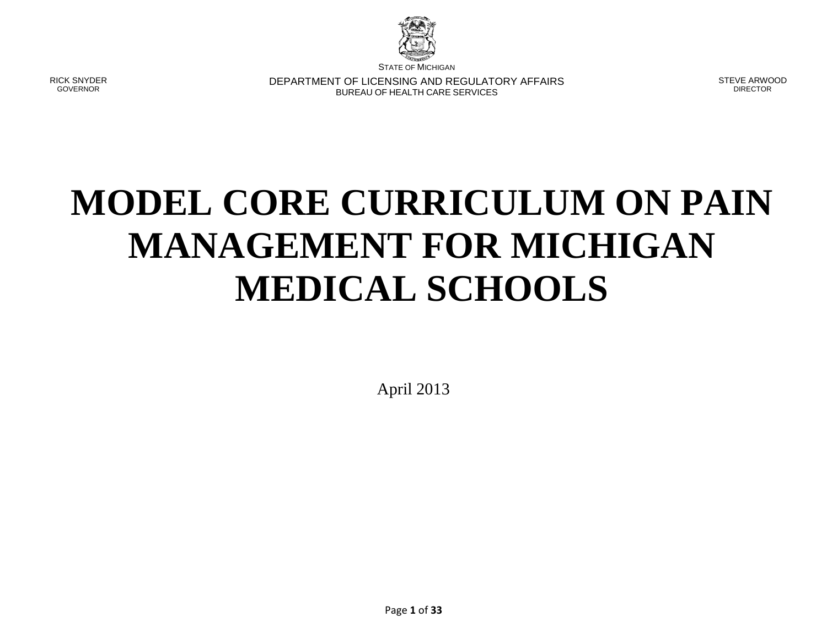

STATE OF MICHIGAN

RICK SNYDER GOVERNOR

DEPARTMENT OF LICENSING AND REGULATORY AFFAIRS BUREAU OF HEALTH CARE SERVICES

STEVE ARWOOD DIRECTOR

# **MODEL CORE CURRICULUM ON PAIN MANAGEMENT FOR MICHIGAN MEDICAL SCHOOLS**

April 2013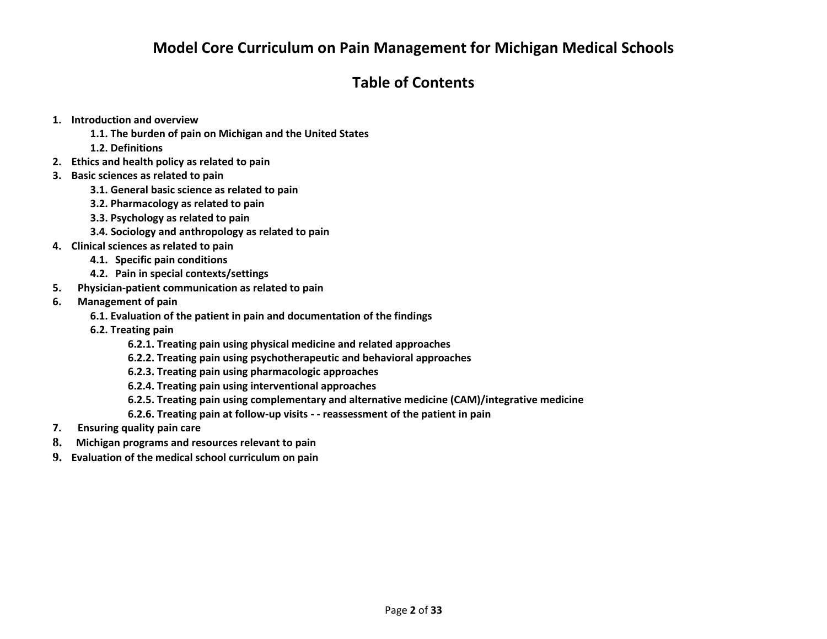# **Model Core Curriculum on Pain Management for Michigan Medical Schools**

# **Table of Contents**

- **1. Introduction and overview**
	- **1.1. The burden of pain on Michigan and the United States**
	- **1.2. Definitions**
- **2. Ethics and health policy as related to pain**
- **3. Basic sciences as related to pain**
	- **3.1. General basic science as related to pain**
	- **3.2. Pharmacology as related to pain**
	- **3.3. Psychology as related to pain**
	- **3.4. Sociology and anthropology as related to pain**
- **4. Clinical sciences as related to pain**
	- **4.1. Specific pain conditions**
	- **4.2. Pain in special contexts/settings**
- **5. Physician-patient communication as related to pain**
- **6. Management of pain**
	- **6.1. Evaluation of the patient in pain and documentation of the findings**
	- **6.2. Treating pain**
		- **6.2.1. Treating pain using physical medicine and related approaches**
		- **6.2.2. Treating pain using psychotherapeutic and behavioral approaches**
		- **6.2.3. Treating pain using pharmacologic approaches**
		- **6.2.4. Treating pain using interventional approaches**
		- **6.2.5. Treating pain using complementary and alternative medicine (CAM)/integrative medicine**
		- **6.2.6. Treating pain at follow-up visits - - reassessment of the patient in pain**
- **7. Ensuring quality pain care**
- **8. Michigan programs and resources relevant to pain**
- **9. Evaluation of the medical school curriculum on pain**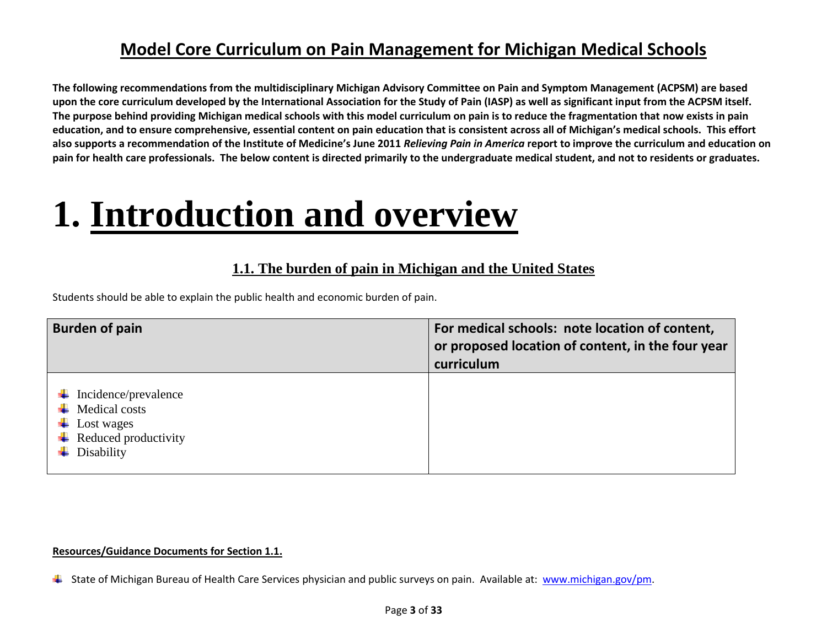# **Model Core Curriculum on Pain Management for Michigan Medical Schools**

**The following recommendations from the multidisciplinary Michigan Advisory Committee on Pain and Symptom Management (ACPSM) are based upon the core curriculum developed by the International Association for the Study of Pain (IASP) as well as significant input from the ACPSM itself. The purpose behind providing Michigan medical schools with this model curriculum on pain is to reduce the fragmentation that now exists in pain education, and to ensure comprehensive, essential content on pain education that is consistent across all of Michigan's medical schools. This effort also supports a recommendation of the Institute of Medicine's June 2011** *Relieving Pain in America* **report to improve the curriculum and education on pain for health care professionals. The below content is directed primarily to the undergraduate medical student, and not to residents or graduates.**

# **1. Introduction and overview**

## **1.1. The burden of pain in Michigan and the United States**

Students should be able to explain the public health and economic burden of pain.

| <b>Burden of pain</b>                                                                                              | For medical schools: note location of content,<br>or proposed location of content, in the four year<br>curriculum |
|--------------------------------------------------------------------------------------------------------------------|-------------------------------------------------------------------------------------------------------------------|
| Incidence/prevalence<br><b>Medical costs</b><br>- ∎<br>Lost wages<br>ъ<br>Reduced productivity<br>۰.<br>Disability |                                                                                                                   |

#### **Resources/Guidance Documents for Section 1.1.**

State of Michigan Bureau of Health Care Services physician and public surveys on pain. Available at: [www.michigan.gov/pm.](http://www.michigan.gov/pm)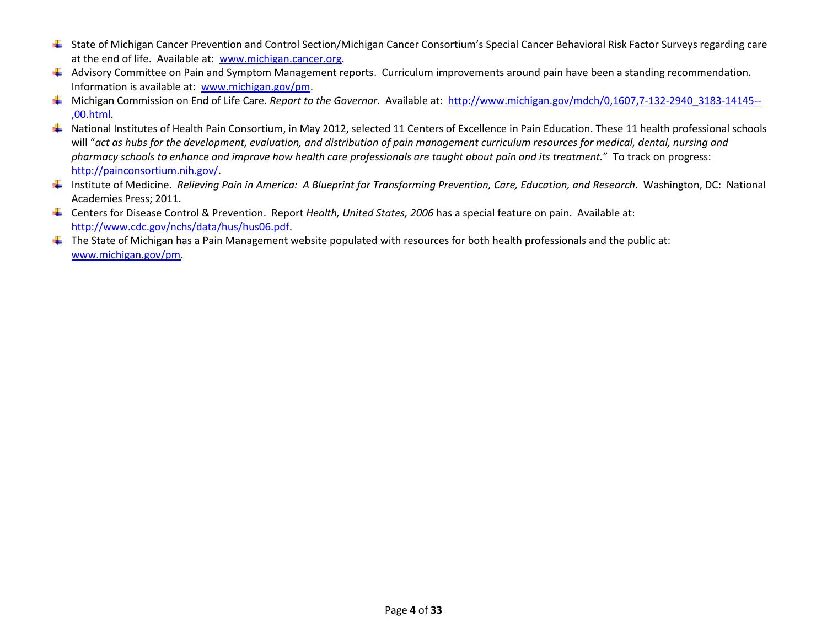- State of Michigan Cancer Prevention and Control Section/Michigan Cancer Consortium's Special Cancer Behavioral Risk Factor Surveys regarding care at the end of life. Available at: [www.michigan.cancer.org.](http://www.michigan.cancer.org/)
- Advisory Committee on Pain and Symptom Management reports. Curriculum improvements around pain have been a standing recommendation. Information is available at: [www.michigan.gov/pm.](http://www.michigan.gov/pm)
- Michigan Commission on End of Life Care. *Report to the Governor.* Available at: [http://www.michigan.gov/mdch/0,1607,7-132-2940\\_3183-14145--](http://www.michigan.gov/mdch/0,1607,7-132-2940_3183-14145--,00.html) [,00.html.](http://www.michigan.gov/mdch/0,1607,7-132-2940_3183-14145--,00.html)
- National Institutes of Health Pain Consortium, in May 2012, selected 11 Centers of Excellence in Pain Education. These 11 health professional schools will "*act as hubs for the development, evaluation, and distribution of pain management curriculum resources for medical, dental, nursing and pharmacy schools to enhance and improve how health care professionals are taught about pain and its treatment.*" To track on progress: [http://painconsortium.nih.gov/.](http://painconsortium.nih.gov/)
- Institute of Medicine. *Relieving Pain in America: A Blueprint for Transforming Prevention, Care, Education, and Research*. Washington, DC: National Academies Press; 2011.
- Centers for Disease Control & Prevention. Report *Health, United States, 2006* has a special feature on pain. Available at: [http://www.cdc.gov/nchs/data/hus/hus06.pdf.](http://www.cdc.gov/nchs/data/hus/hus06.pdf)
- $\ddotplus$  The State of Michigan has a Pain Management website populated with resources for both health professionals and the public at: [www.michigan.gov/pm.](http://www.michigan.gov/pm)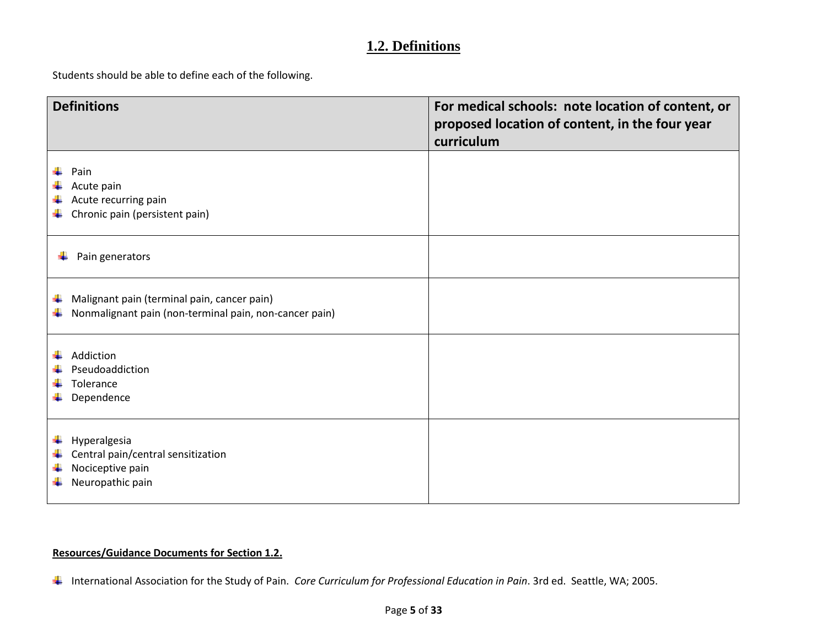## **1.2. Definitions**

Students should be able to define each of the following.

| <b>Definitions</b>                                                                                               | For medical schools: note location of content, or<br>proposed location of content, in the four year<br>curriculum |
|------------------------------------------------------------------------------------------------------------------|-------------------------------------------------------------------------------------------------------------------|
| Pain<br>Acute pain<br>Acute recurring pain<br>٠<br>Chronic pain (persistent pain)<br>٠                           |                                                                                                                   |
| Pain generators                                                                                                  |                                                                                                                   |
| Malignant pain (terminal pain, cancer pain)<br>۰.<br>Nonmalignant pain (non-terminal pain, non-cancer pain)<br>÷ |                                                                                                                   |
| Addiction<br>Pseudoaddiction<br>Tolerance<br>Dependence                                                          |                                                                                                                   |
| Hyperalgesia<br>۰.<br>Central pain/central sensitization<br>÷<br>Nociceptive pain<br>÷<br>Neuropathic pain<br>۰. |                                                                                                                   |

### **Resources/Guidance Documents for Section 1.2.**

International Association for the Study of Pain. *Core Curriculum for Professional Education in Pain*. 3rd ed. Seattle, WA; 2005.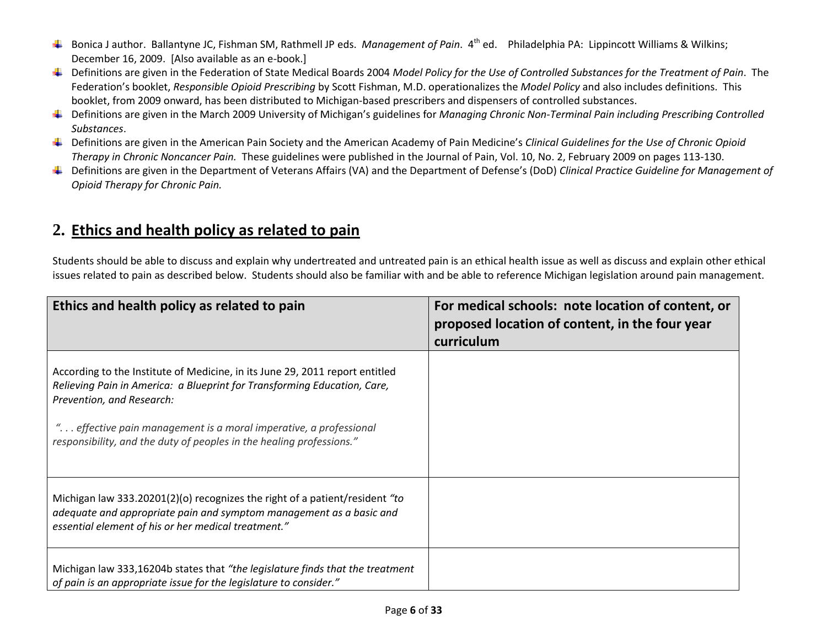- Bonica J author. Ballantyne JC, Fishman SM, Rathmell JP eds. *Management of Pain*. 4th ed. Philadelphia PA: Lippincott Williams & Wilkins; December 16, 2009. [Also available as an e-book.]
- Definitions are given in the Federation of State Medical Boards 2004 *Model Policy for the Use of Controlled Substances for the Treatment of Pain*. The Federation's booklet, *Responsible Opioid Prescribing* by Scott Fishman, M.D. operationalizes the *Model Policy* and also includes definitions. This booklet, from 2009 onward, has been distributed to Michigan-based prescribers and dispensers of controlled substances.
- Definitions are given in the March 2009 University of Michigan's guidelines for *Managing Chronic Non-Terminal Pain including Prescribing Controlled Substances*.
- Definitions are given in the American Pain Society and the American Academy of Pain Medicine's *Clinical Guidelines for the Use of Chronic Opioid Therapy in Chronic Noncancer Pain.* These guidelines were published in the Journal of Pain, Vol. 10, No. 2, February 2009 on pages 113-130.
- Definitions are given in the Department of Veterans Affairs (VA) and the Department of Defense's (DoD) *Clinical Practice Guideline for Management of Opioid Therapy for Chronic Pain.*

# **2. Ethics and health policy as related to pain**

Students should be able to discuss and explain why undertreated and untreated pain is an ethical health issue as well as discuss and explain other ethical issues related to pain as described below. Students should also be familiar with and be able to reference Michigan legislation around pain management.

| Ethics and health policy as related to pain                                                                                                                                                                                                                                                                                        | For medical schools: note location of content, or<br>proposed location of content, in the four year<br>curriculum |
|------------------------------------------------------------------------------------------------------------------------------------------------------------------------------------------------------------------------------------------------------------------------------------------------------------------------------------|-------------------------------------------------------------------------------------------------------------------|
| According to the Institute of Medicine, in its June 29, 2011 report entitled<br>Relieving Pain in America: a Blueprint for Transforming Education, Care,<br>Prevention, and Research:<br>" effective pain management is a moral imperative, a professional<br>responsibility, and the duty of peoples in the healing professions." |                                                                                                                   |
| Michigan law 333.20201(2)(o) recognizes the right of a patient/resident "to<br>adequate and appropriate pain and symptom management as a basic and<br>essential element of his or her medical treatment."                                                                                                                          |                                                                                                                   |
| Michigan law 333,16204b states that "the legislature finds that the treatment<br>of pain is an appropriate issue for the legislature to consider."                                                                                                                                                                                 |                                                                                                                   |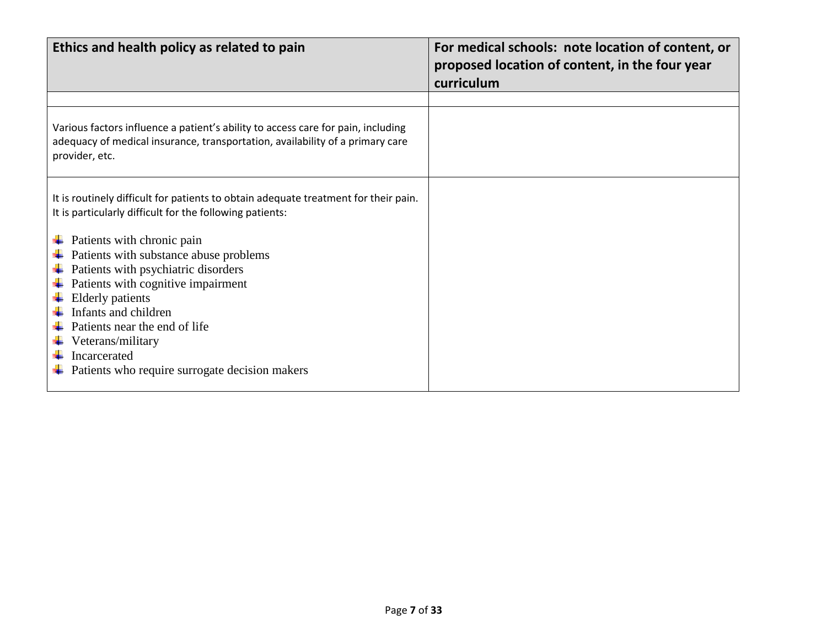| Ethics and health policy as related to pain                                                                                                                                                                                                                                                                                                                                                                                                                                     | For medical schools: note location of content, or<br>proposed location of content, in the four year<br>curriculum |
|---------------------------------------------------------------------------------------------------------------------------------------------------------------------------------------------------------------------------------------------------------------------------------------------------------------------------------------------------------------------------------------------------------------------------------------------------------------------------------|-------------------------------------------------------------------------------------------------------------------|
|                                                                                                                                                                                                                                                                                                                                                                                                                                                                                 |                                                                                                                   |
| Various factors influence a patient's ability to access care for pain, including<br>adequacy of medical insurance, transportation, availability of a primary care<br>provider, etc.                                                                                                                                                                                                                                                                                             |                                                                                                                   |
| It is routinely difficult for patients to obtain adequate treatment for their pain.<br>It is particularly difficult for the following patients:<br>Patients with chronic pain<br>Patients with substance abuse problems<br>Patients with psychiatric disorders<br>Patients with cognitive impairment<br><b>Elderly patients</b><br>Infants and children<br>Patients near the end of life<br>Veterans/military<br>Incarcerated<br>Patients who require surrogate decision makers |                                                                                                                   |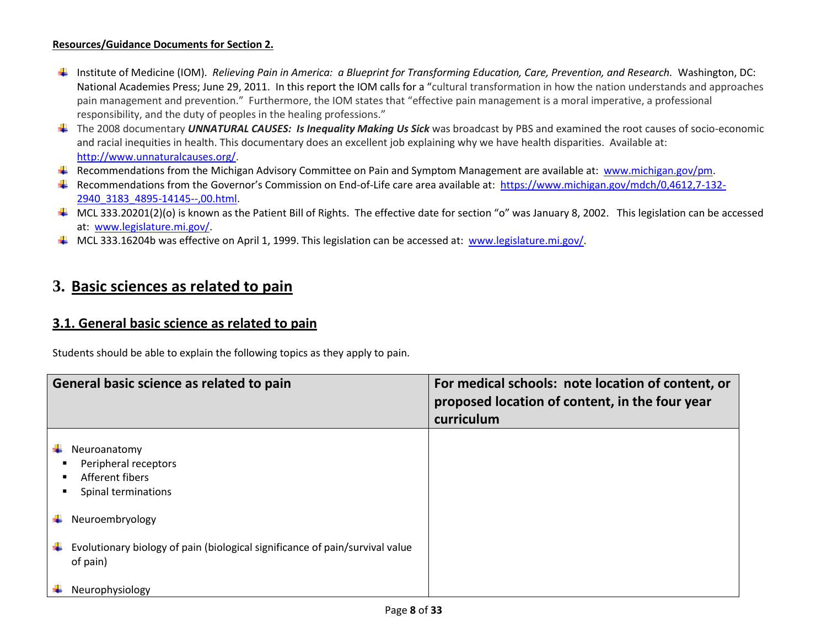#### **Resources/Guidance Documents for Section 2.**

- Institute of Medicine (IOM). *Relieving Pain in America: a Blueprint for Transforming Education, Care, Prevention, and Research.* Washington, DC: National Academies Press; June 29, 2011.In this report the IOM calls for a "cultural transformation in how the nation understands and approaches pain management and prevention." Furthermore, the IOM states that "effective pain management is a moral imperative, a professional responsibility, and the duty of peoples in the healing professions."
- The 2008 documentary *UNNATURAL CAUSES: Is Inequality Making Us Sick* was broadcast by PBS and examined the root causes of socio-economic and racial inequities in health. This documentary does an excellent job explaining why we have health disparities. Available at: [http://www.unnaturalcauses.org/.](http://www.unnaturalcauses.org/)
- F Recommendations from the Michigan Advisory Committee on Pain and Symptom Management are available at: [www.michigan.gov/pm.](http://www.michigan.gov/pm)
- Recommendations from the Governor's Commission on End-of-Life care area available at: [https://www.michigan.gov/mdch/0,4612,7-132-](https://www.michigan.gov/mdch/0,4612,7-132-2940_3183_4895-14145--,00.html) [2940\\_3183\\_4895-14145--,00.html.](https://www.michigan.gov/mdch/0,4612,7-132-2940_3183_4895-14145--,00.html)
- $\blacksquare$  MCL 333.20201(2)(o) is known as the Patient Bill of Rights. The effective date for section "o" was January 8, 2002. This legislation can be accessed at: [www.legislature.mi.gov/.](http://www.legislature.mi.gov/)
- $\blacksquare$  MCL 333.16204b was effective on April 1, 1999. This legislation can be accessed at: [www.legislature.mi.gov/.](http://www.legislature.mi.gov/)

## **3. Basic sciences as related to pain**

### **3.1. General basic science as related to pain**

Students should be able to explain the following topics as they apply to pain.

|    | General basic science as related to pain                                                 | For medical schools: note location of content, or<br>proposed location of content, in the four year<br>curriculum |
|----|------------------------------------------------------------------------------------------|-------------------------------------------------------------------------------------------------------------------|
|    | Neuroanatomy<br>Peripheral receptors<br>Afferent fibers<br>Spinal terminations           |                                                                                                                   |
|    | Neuroembryology                                                                          |                                                                                                                   |
| ۰. | Evolutionary biology of pain (biological significance of pain/survival value<br>of pain) |                                                                                                                   |
|    | Neurophysiology                                                                          |                                                                                                                   |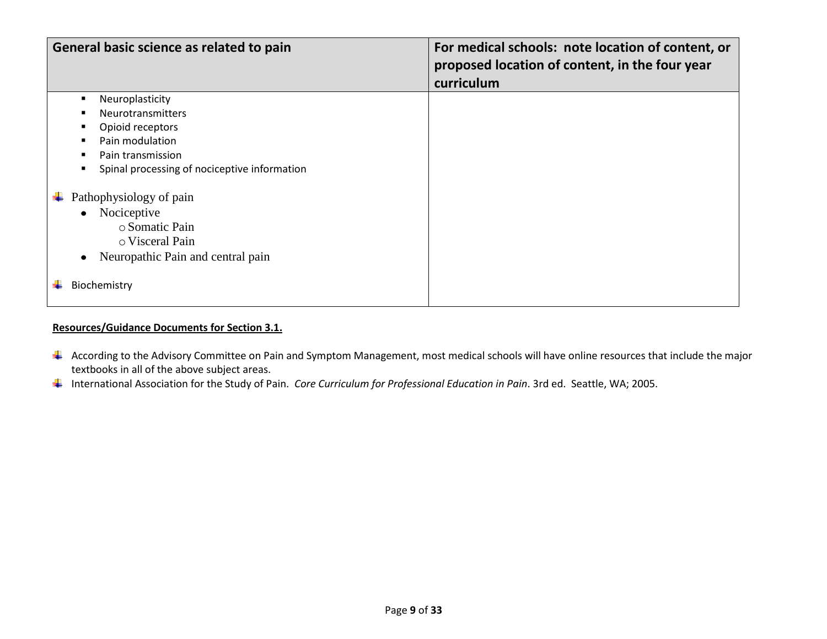| General basic science as related to pain                                                                                                                                           | For medical schools: note location of content, or<br>proposed location of content, in the four year<br>curriculum |
|------------------------------------------------------------------------------------------------------------------------------------------------------------------------------------|-------------------------------------------------------------------------------------------------------------------|
| Neuroplasticity<br><b>Neurotransmitters</b><br>Opioid receptors<br>Pain modulation<br>Pain transmission<br>Spinal processing of nociceptive information<br>Pathophysiology of pain |                                                                                                                   |
| Nociceptive<br>$\bullet$<br>○ Somatic Pain<br>o Visceral Pain<br>Neuropathic Pain and central pain<br>Biochemistry                                                                 |                                                                                                                   |

#### **Resources/Guidance Documents for Section 3.1.**

- 4 According to the Advisory Committee on Pain and Symptom Management, most medical schools will have online resources that include the major textbooks in all of the above subject areas.
- International Association for the Study of Pain. *Core Curriculum for Professional Education in Pain*. 3rd ed. Seattle, WA; 2005.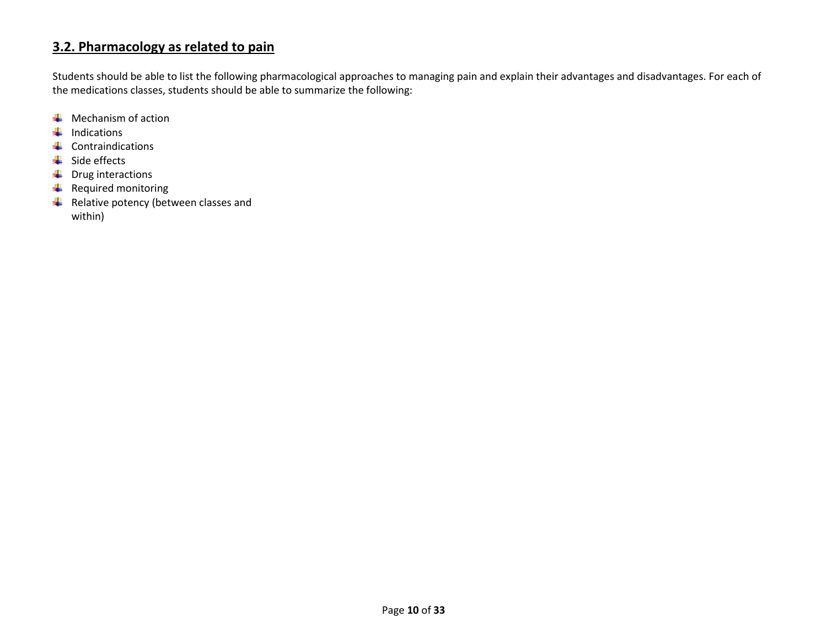## **3.2. Pharmacology as related to pain**

Students should be able to list the following pharmacological approaches to managing pain and explain their advantages and disadvantages. For each of the medications classes, students should be able to summarize the following:

- $\bigstar$  Mechanism of action
- $\downarrow$  Indications
- $\downarrow$  Contraindications
- $\overline{\phantom{a}}$  Side effects
- $\downarrow$  Drug interactions
- $\leftarrow$  Required monitoring
- $\overline{\phantom{a}}$  Relative potency (between classes and within)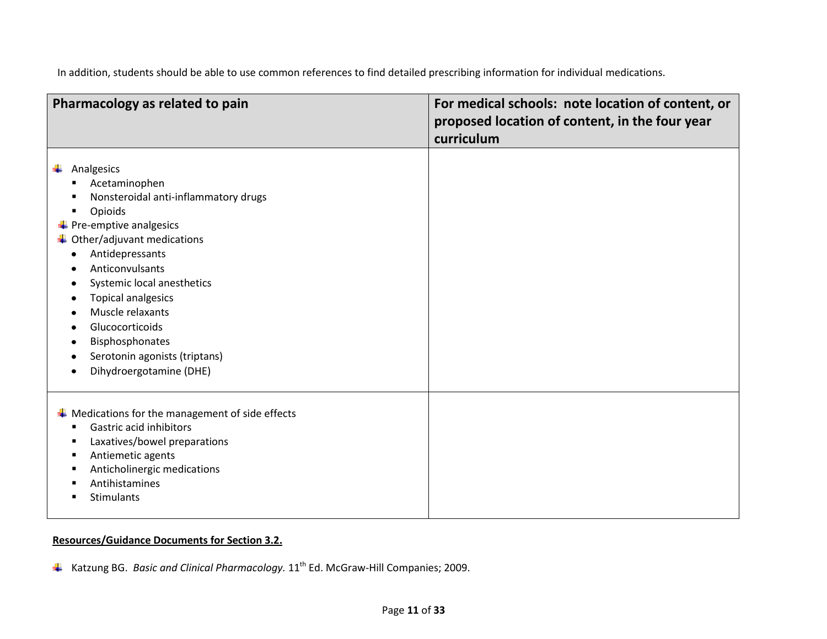In addition, students should be able to use common references to find detailed prescribing information for individual medications.

| Pharmacology as related to pain                                                                                                                                                                                                                                                                                                                                                                                                | For medical schools: note location of content, or<br>proposed location of content, in the four year<br>curriculum |
|--------------------------------------------------------------------------------------------------------------------------------------------------------------------------------------------------------------------------------------------------------------------------------------------------------------------------------------------------------------------------------------------------------------------------------|-------------------------------------------------------------------------------------------------------------------|
| Analgesics<br>Acetaminophen<br>Nonsteroidal anti-inflammatory drugs<br>Opioids<br>в<br>$\leftarrow$ Pre-emptive analgesics<br>$\ddot{\phantom{1}}$ Other/adjuvant medications<br>Antidepressants<br>$\bullet$<br>Anticonvulsants<br>$\bullet$<br>Systemic local anesthetics<br><b>Topical analgesics</b><br>Muscle relaxants<br>Glucocorticoids<br>Bisphosphonates<br>Serotonin agonists (triptans)<br>Dihydroergotamine (DHE) |                                                                                                                   |
| $\ddot{*}$ Medications for the management of side effects<br>Gastric acid inhibitors<br>п<br>Laxatives/bowel preparations<br>п<br>Antiemetic agents<br>в<br>Anticholinergic medications<br>в<br>Antihistamines<br><b>Stimulants</b>                                                                                                                                                                                            |                                                                                                                   |

#### **Resources/Guidance Documents for Section 3.2.**

Katzung BG. *Basic and Clinical Pharmacology.* 11th Ed. McGraw-Hill Companies; 2009.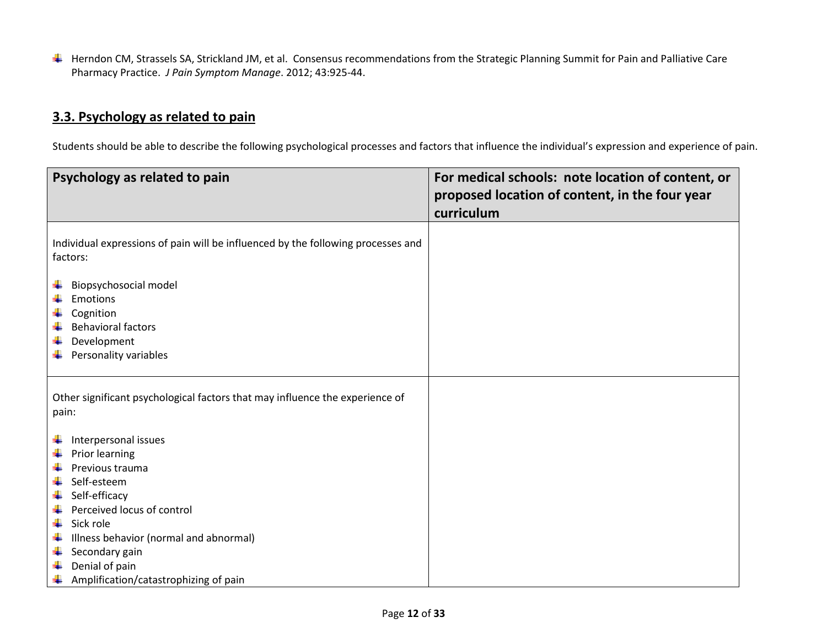Herndon CM, Strassels SA, Strickland JM, et al. Consensus recommendations from the Strategic Planning Summit for Pain and Palliative Care Pharmacy Practice. *J Pain Symptom Manage*. 2012; 43:925-44.

## **3.3. Psychology as related to pain**

Students should be able to describe the following psychological processes and factors that influence the individual's expression and experience of pain.

| Psychology as related to pain                                                                                                                                                                                                                                                                                      | For medical schools: note location of content, or<br>proposed location of content, in the four year<br>curriculum |
|--------------------------------------------------------------------------------------------------------------------------------------------------------------------------------------------------------------------------------------------------------------------------------------------------------------------|-------------------------------------------------------------------------------------------------------------------|
| Individual expressions of pain will be influenced by the following processes and<br>factors:<br>Biopsychosocial model<br>4                                                                                                                                                                                         |                                                                                                                   |
| Emotions<br>4<br>٠<br>Cognition<br>4<br><b>Behavioral factors</b><br>Development<br>÷<br>Personality variables<br>÷                                                                                                                                                                                                |                                                                                                                   |
| Other significant psychological factors that may influence the experience of<br>pain:                                                                                                                                                                                                                              |                                                                                                                   |
| Interpersonal issues<br>÷<br>Prior learning<br>٠<br>4<br>Previous trauma<br>4<br>Self-esteem<br>Self-efficacy<br>÷<br>٠<br>Perceived locus of control<br>÷<br>Sick role<br>÷<br>Illness behavior (normal and abnormal)<br>÷<br>Secondary gain<br>Denial of pain<br>÷<br>Amplification/catastrophizing of pain<br>÷ |                                                                                                                   |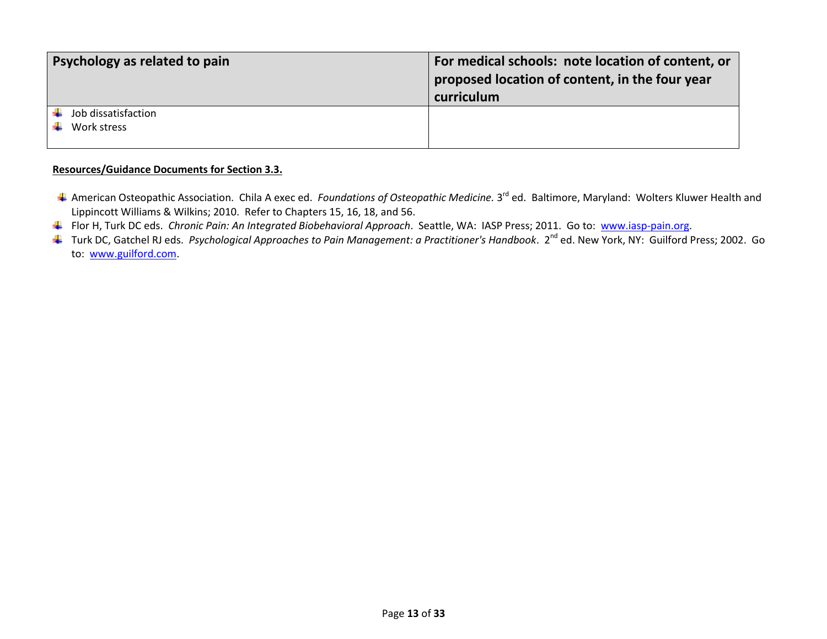| <b>Psychology as related to pain</b> | For medical schools: note location of content, or<br>proposed location of content, in the four year<br>curriculum |
|--------------------------------------|-------------------------------------------------------------------------------------------------------------------|
| Job dissatisfaction<br>Work stress   |                                                                                                                   |

#### **Resources/Guidance Documents for Section 3.3.**

- American Osteopathic Association. Chila A exec ed. *Foundations of Osteopathic Medicine.* 3<sup>rd</sup> ed. Baltimore, Maryland: Wolters Kluwer Health and Lippincott Williams & Wilkins; 2010. Refer to Chapters 15, 16, 18, and 56.
- Flor H, Turk DC eds. *Chronic Pain: An Integrated Biobehavioral Approach*. Seattle, WA: IASP Press; 2011. Go to: [www.iasp-pain.org.](http://www.iasp-pain.org/)
- ↓ Turk DC, Gatchel RJ eds. Psychological Approaches to Pain Management: a Practitioner's Handbook. 2<sup>nd</sup> ed. New York, NY: Guilford Press; 2002. Go to: [www.guilford.com.](http://www.guilford.com/)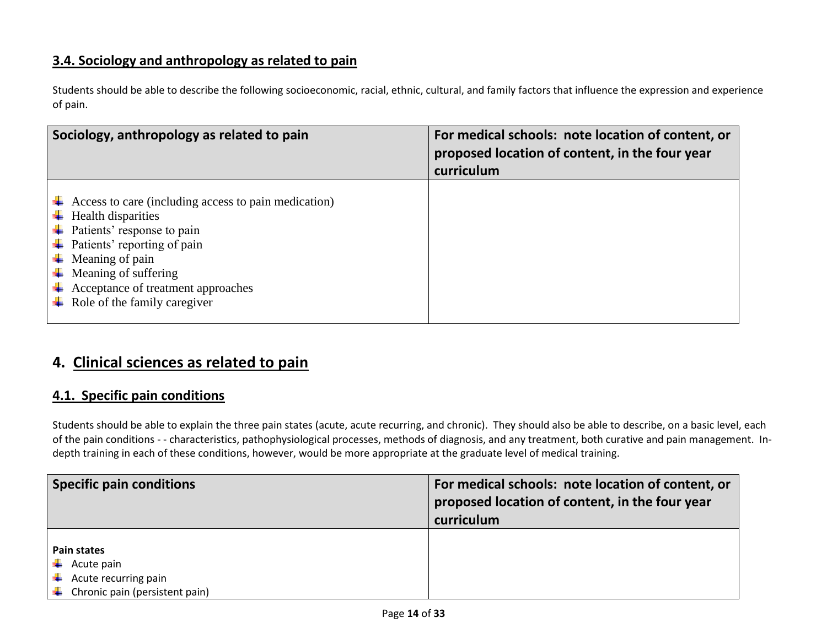## **3.4. Sociology and anthropology as related to pain**

Students should be able to describe the following socioeconomic, racial, ethnic, cultural, and family factors that influence the expression and experience of pain.

| Sociology, anthropology as related to pain                                                                                                                                                                                                                                                                                                                                                                       | For medical schools: note location of content, or<br>proposed location of content, in the four year<br>curriculum |
|------------------------------------------------------------------------------------------------------------------------------------------------------------------------------------------------------------------------------------------------------------------------------------------------------------------------------------------------------------------------------------------------------------------|-------------------------------------------------------------------------------------------------------------------|
| $\downarrow$ Access to care (including access to pain medication)<br>$\overline{\phantom{a}}$ Health disparities<br>$\downarrow$ Patients' response to pain<br>$\downarrow$ Patients' reporting of pain<br>$\overline{\phantom{a}}$ Meaning of pain<br>$\overline{\phantom{a}}$ Meaning of suffering<br>$\overline{\phantom{a}}$ Acceptance of treatment approaches<br>$\downarrow$ Role of the family caregiver |                                                                                                                   |

# **4. Clinical sciences as related to pain**

## **4.1. Specific pain conditions**

Students should be able to explain the three pain states (acute, acute recurring, and chronic). They should also be able to describe, on a basic level, each of the pain conditions - - characteristics, pathophysiological processes, methods of diagnosis, and any treatment, both curative and pain management. Indepth training in each of these conditions, however, would be more appropriate at the graduate level of medical training.

| <b>Specific pain conditions</b>             | For medical schools: note location of content, or<br>proposed location of content, in the four year<br>curriculum |
|---------------------------------------------|-------------------------------------------------------------------------------------------------------------------|
| Pain states                                 |                                                                                                                   |
|                                             |                                                                                                                   |
| $\leftarrow$ Acute pain                     |                                                                                                                   |
| $\leftarrow$ Acute recurring pain           |                                                                                                                   |
| $\downarrow$ Chronic pain (persistent pain) |                                                                                                                   |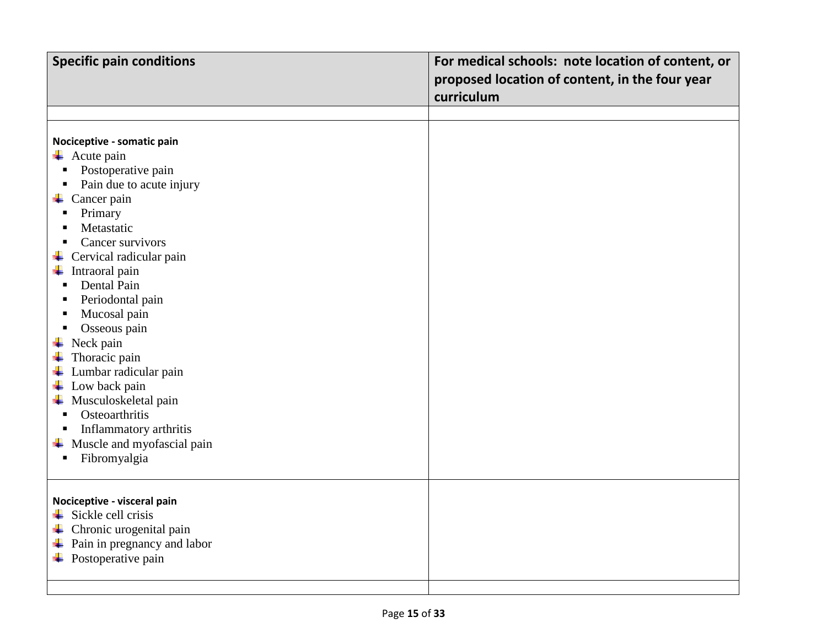| <b>Specific pain conditions</b>                                                                                                                                                                                                                                                                                                                                                                                                                                                                                                                                                | For medical schools: note location of content, or<br>proposed location of content, in the four year |
|--------------------------------------------------------------------------------------------------------------------------------------------------------------------------------------------------------------------------------------------------------------------------------------------------------------------------------------------------------------------------------------------------------------------------------------------------------------------------------------------------------------------------------------------------------------------------------|-----------------------------------------------------------------------------------------------------|
|                                                                                                                                                                                                                                                                                                                                                                                                                                                                                                                                                                                | curriculum                                                                                          |
|                                                                                                                                                                                                                                                                                                                                                                                                                                                                                                                                                                                |                                                                                                     |
| Nociceptive - somatic pain<br>$\overline{\phantom{a}}$ Acute pain<br>Postoperative pain<br>Ξ<br>Pain due to acute injury<br>П<br>$\leftarrow$ Cancer pain<br>Primary<br>П<br>Metastatic<br>$\blacksquare$<br>Cancer survivors<br>$\blacksquare$<br>$\perp$ Cervical radicular pain<br>Intraoral pain<br>÷<br>Dental Pain<br>$\blacksquare$<br>Periodontal pain<br>п<br>Mucosal pain<br>п<br>Osseous pain<br>Neck pain<br>Thoracic pain<br>Lumbar radicular pain<br>Low back pain<br>4.<br>← Musculoskeletal pain<br>Osteoarthritis<br>$\blacksquare$<br>Inflammatory arthritis |                                                                                                     |
| $\overline{\phantom{a}}$ Muscle and myofascial pain<br>Fibromyalgia<br>П                                                                                                                                                                                                                                                                                                                                                                                                                                                                                                       |                                                                                                     |
| Nociceptive - visceral pain<br>$\frac{1}{2}$ Sickle cell crisis<br>4<br>Chronic urogenital pain<br>÷<br>Pain in pregnancy and labor<br>$\overline{\phantom{a}}$ Postoperative pain                                                                                                                                                                                                                                                                                                                                                                                             |                                                                                                     |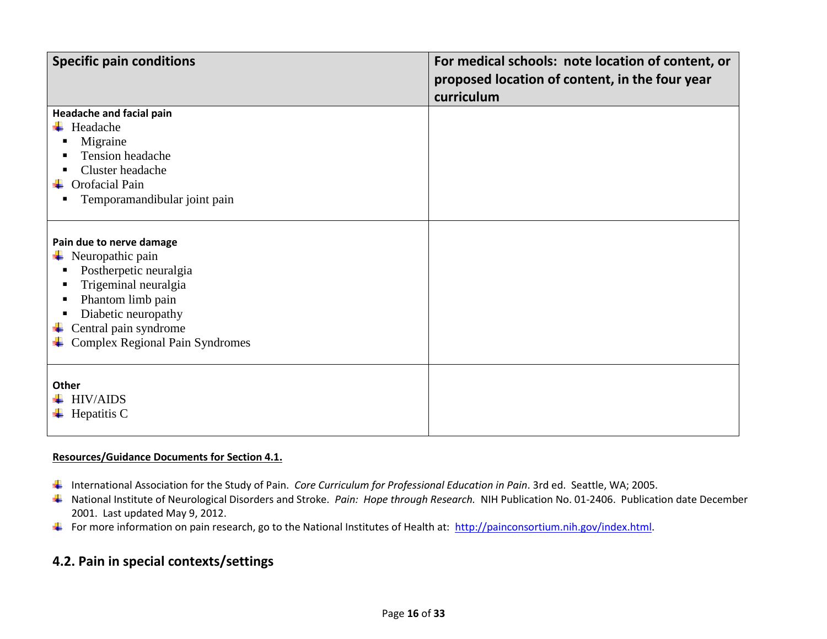| <b>Specific pain conditions</b>                                                                                                                                                                                                 | For medical schools: note location of content, or<br>proposed location of content, in the four year<br>curriculum |
|---------------------------------------------------------------------------------------------------------------------------------------------------------------------------------------------------------------------------------|-------------------------------------------------------------------------------------------------------------------|
| <b>Headache and facial pain</b><br>Headache<br>Migraine<br>Tension headache<br>Cluster headache<br>Orofacial Pain<br>Temporamandibular joint pain                                                                               |                                                                                                                   |
| Pain due to nerve damage<br>$\downarrow$ Neuropathic pain<br>Postherpetic neuralgia<br>п<br>Trigeminal neuralgia<br>Phantom limb pain<br>Diabetic neuropathy<br>Central pain syndrome<br><b>Complex Regional Pain Syndromes</b> |                                                                                                                   |
| Other<br><b>HIV/AIDS</b><br>Hepatitis C<br>۰.                                                                                                                                                                                   |                                                                                                                   |

#### **Resources/Guidance Documents for Section 4.1.**

- International Association for the Study of Pain. *Core Curriculum for Professional Education in Pain*. 3rd ed. Seattle, WA; 2005.
- National Institute of Neurological Disorders and Stroke. *Pain: Hope through Research.* NIH Publication No. 01-2406. Publication date December 2001. Last updated May 9, 2012.
- For more information on pain research, go to the National Institutes of Health at: [http://painconsortium.nih.gov/index.html.](http://painconsortium.nih.gov/index.html)

# **4.2. Pain in special contexts/settings**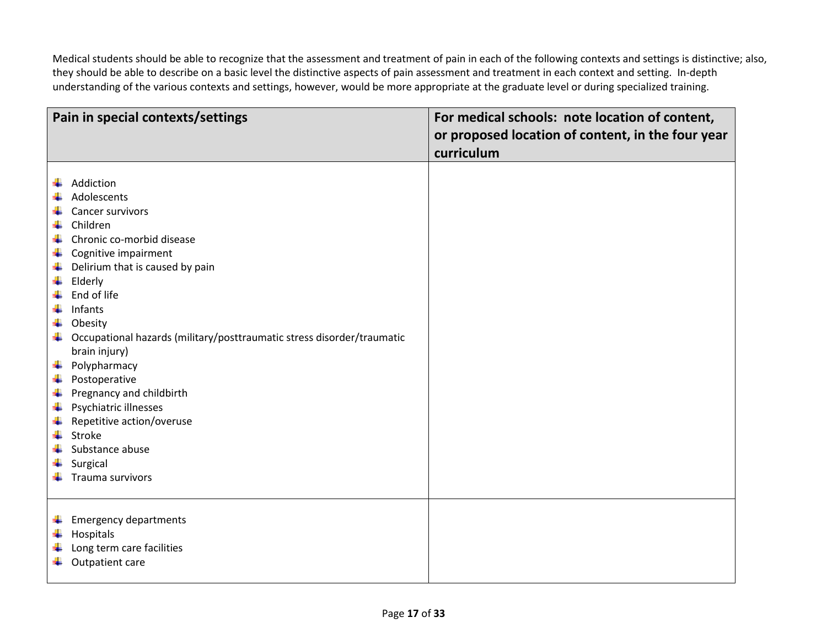Medical students should be able to recognize that the assessment and treatment of pain in each of the following contexts and settings is distinctive; also, they should be able to describe on a basic level the distinctive aspects of pain assessment and treatment in each context and setting. In-depth understanding of the various contexts and settings, however, would be more appropriate at the graduate level or during specialized training.

|   | Pain in special contexts/settings                                      | For medical schools: note location of content,    |
|---|------------------------------------------------------------------------|---------------------------------------------------|
|   |                                                                        | or proposed location of content, in the four year |
|   |                                                                        | curriculum                                        |
|   | Addiction                                                              |                                                   |
|   | Adolescents                                                            |                                                   |
|   | Cancer survivors                                                       |                                                   |
| ÷ | Children                                                               |                                                   |
| 4 | Chronic co-morbid disease                                              |                                                   |
| ÷ | Cognitive impairment                                                   |                                                   |
| ÷ | Delirium that is caused by pain                                        |                                                   |
| ÷ | Elderly                                                                |                                                   |
| ÷ | End of life                                                            |                                                   |
| ÷ | Infants                                                                |                                                   |
| ÷ | Obesity                                                                |                                                   |
| ÷ | Occupational hazards (military/posttraumatic stress disorder/traumatic |                                                   |
|   | brain injury)                                                          |                                                   |
| ÷ | Polypharmacy                                                           |                                                   |
| ÷ | Postoperative                                                          |                                                   |
| ÷ | Pregnancy and childbirth                                               |                                                   |
| ÷ | Psychiatric illnesses                                                  |                                                   |
| ÷ | Repetitive action/overuse                                              |                                                   |
| ÷ | Stroke                                                                 |                                                   |
|   | Substance abuse                                                        |                                                   |
|   | Surgical                                                               |                                                   |
|   | Trauma survivors                                                       |                                                   |
|   |                                                                        |                                                   |
| ٠ | <b>Emergency departments</b>                                           |                                                   |
| ÷ | Hospitals                                                              |                                                   |
|   | Long term care facilities                                              |                                                   |
|   | Outpatient care                                                        |                                                   |
|   |                                                                        |                                                   |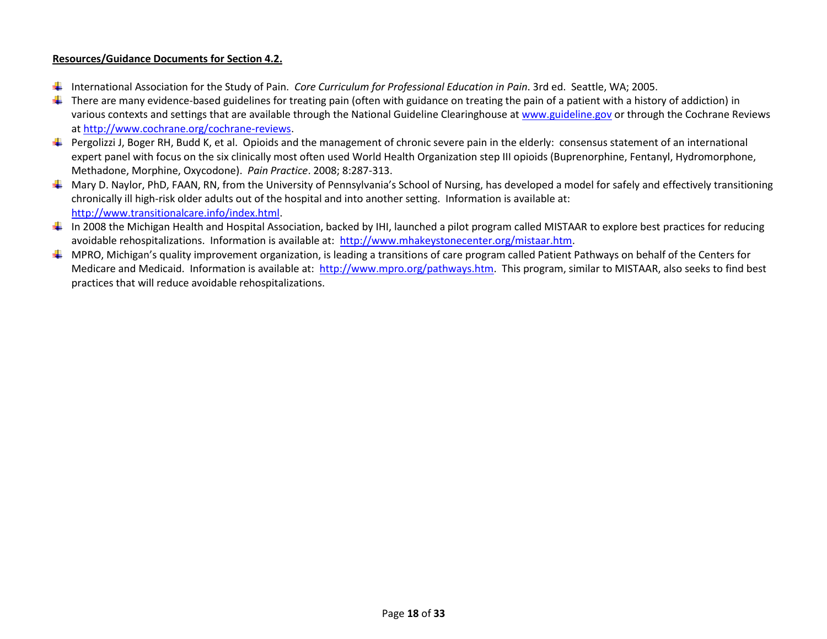#### **Resources/Guidance Documents for Section 4.2.**

- International Association for the Study of Pain. *Core Curriculum for Professional Education in Pain*. 3rd ed. Seattle, WA; 2005.
- There are many evidence-based guidelines for treating pain (often with guidance on treating the pain of a patient with a history of addiction) in ۰. various contexts and settings that are available through the National Guideline Clearinghouse at [www.guideline.gov](http://www.guideline.gov/) or through the Cochrane Reviews at [http://www.cochrane.org/cochrane-reviews.](http://www.cochrane.org/cochrane-reviews)
- Pergolizzi J, Boger RH, Budd K, et al. Opioids and the management of chronic severe pain in the elderly: consensus statement of an international expert panel with focus on the six clinically most often used World Health Organization step III opioids (Buprenorphine, Fentanyl, Hydromorphone, Methadone, Morphine, Oxycodone). *Pain Practice*. 2008; 8:287-313.
- $\perp$  Mary D. Naylor, PhD, FAAN, RN, from the University of Pennsylvania's School of Nursing, has developed a model for safely and effectively transitioning chronically ill high-risk older adults out of the hospital and into another setting. Information is available at: [http://www.transitionalcare.info/index.html.](http://www.transitionalcare.info/index.html)
- In 2008 the Michigan Health and Hospital Association, backed by IHI, launched a pilot program called MISTAAR to explore best practices for reducing avoidable rehospitalizations. Information is available at: [http://www.mhakeystonecenter.org/mistaar.htm.](http://www.mhakeystonecenter.org/mistaar.htm)
- $\ddot{+}$  MPRO, Michigan's quality improvement organization, is leading a transitions of care program called Patient Pathways on behalf of the Centers for Medicare and Medicaid. Information is available at: [http://www.mpro.org/pathways.htm.](http://www.mpro.org/pathways.htm) This program, similar to MISTAAR, also seeks to find best practices that will reduce avoidable rehospitalizations.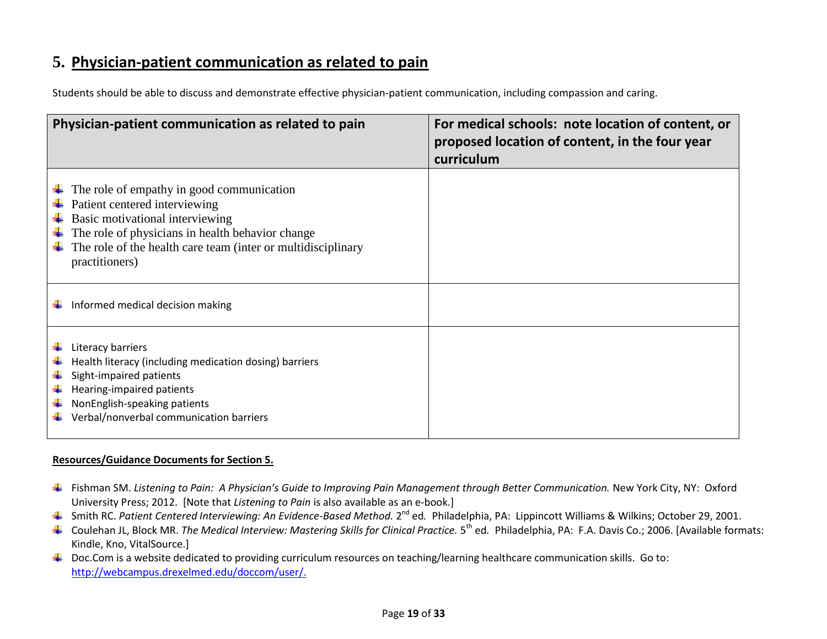# **5. Physician-patient communication as related to pain**

| Students should be able to discuss and demonstrate effective physician-patient communication, including compassion and caring. |
|--------------------------------------------------------------------------------------------------------------------------------|
|--------------------------------------------------------------------------------------------------------------------------------|

| Physician-patient communication as related to pain                                                                                                                                                                                                  | For medical schools: note location of content, or<br>proposed location of content, in the four year<br>curriculum |
|-----------------------------------------------------------------------------------------------------------------------------------------------------------------------------------------------------------------------------------------------------|-------------------------------------------------------------------------------------------------------------------|
| The role of empathy in good communication<br>Patient centered interviewing<br>Basic motivational interviewing<br>The role of physicians in health behavior change<br>The role of the health care team (inter or multidisciplinary<br>practitioners) |                                                                                                                   |
| Informed medical decision making                                                                                                                                                                                                                    |                                                                                                                   |
| Literacy barriers<br>Health literacy (including medication dosing) barriers<br>Sight-impaired patients<br>Hearing-impaired patients<br>NonEnglish-speaking patients<br>Verbal/nonverbal communication barriers                                      |                                                                                                                   |

#### **Resources/Guidance Documents for Section 5.**

- Fishman SM. *Listening to Pain: A Physician's Guide to Improving Pain Management through Better Communication.* New York City, NY: Oxford University Press; 2012. [Note that *Listening to Pain* is also available as an e-book.]
- Smith RC. Patient Centered Interviewing: An Evidence-Based Method. 2<sup>nd</sup> ed. Philadelphia, PA: Lippincott Williams & Wilkins; October 29, 2001.
- Coulehan JL, Block MR. *The Medical Interview: Mastering Skills for Clinical Practice.* 5<sup>th</sup> ed. Philadelphia, PA: F.A. Davis Co.; 2006. [Available formats: Kindle, Kno, VitalSource.]
- $\ddotplus$  Doc.Com is a website dedicated to providing curriculum resources on teaching/learning healthcare communication skills. Go to: [http://webcampus.drexelmed.edu/doccom/user/.](http://webcampus.drexelmed.edu/doccom/user/)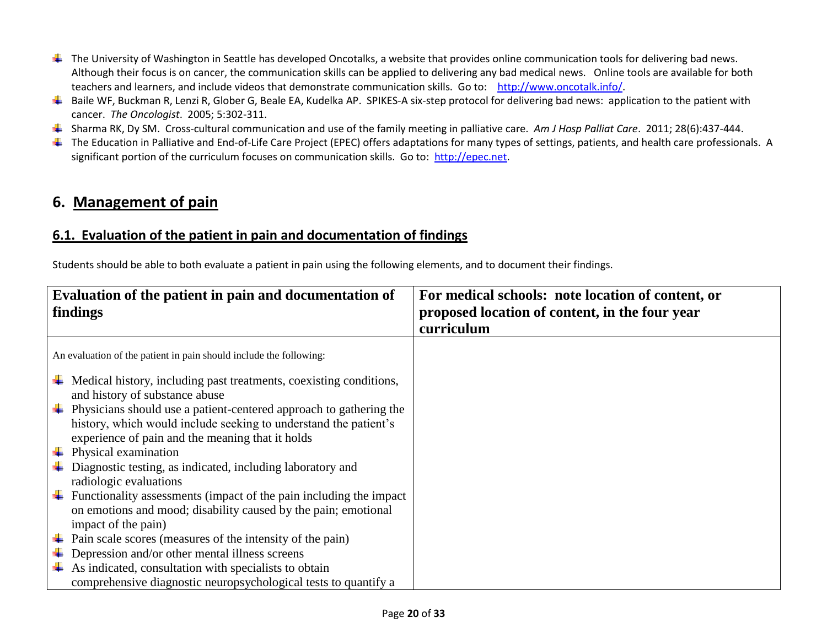- **↓** The University of Washington in Seattle has developed Oncotalks, a website that provides online communication tools for delivering bad news. Although their focus is on cancer, the communication skills can be applied to delivering any bad medical news. Online tools are available for both teachers and learners, and include videos that demonstrate communication skills. Go to: [http://www.oncotalk.info/.](http://www.oncotalk.info/)
- $\ddotplus$  Baile WF, Buckman R, Lenzi R, Glober G, Beale EA, Kudelka AP. SPIKES-A six-step protocol for delivering bad news: application to the patient with cancer. *The Oncologist*. 2005; 5:302-311.
- Sharma RK, Dy SM. Cross-cultural communication and use of the family meeting in palliative care. *Am J Hosp Palliat Care*. 2011; 28(6):437-444.
- The Education in Palliative and End-of-Life Care Project (EPEC) offers adaptations for many types of settings, patients, and health care professionals. A significant portion of the curriculum focuses on communication skills. Go to: [http://epec.net.](http://epec.net/)

# **6. Management of pain**

## **6.1. Evaluation of the patient in pain and documentation of findings**

Students should be able to both evaluate a patient in pain using the following elements, and to document their findings.

| Evaluation of the patient in pain and documentation of<br>findings                                                                                                                                                                                                                                                                   | For medical schools: note location of content, or<br>proposed location of content, in the four year<br>curriculum |
|--------------------------------------------------------------------------------------------------------------------------------------------------------------------------------------------------------------------------------------------------------------------------------------------------------------------------------------|-------------------------------------------------------------------------------------------------------------------|
| An evaluation of the patient in pain should include the following:                                                                                                                                                                                                                                                                   |                                                                                                                   |
| $\ddot{\phantom{a}}$ Medical history, including past treatments, coexisting conditions,<br>and history of substance abuse<br>$\downarrow$ Physicians should use a patient-centered approach to gathering the<br>history, which would include seeking to understand the patient's<br>experience of pain and the meaning that it holds |                                                                                                                   |
| $\downarrow$ Physical examination                                                                                                                                                                                                                                                                                                    |                                                                                                                   |
| Diagnostic testing, as indicated, including laboratory and<br>radiologic evaluations                                                                                                                                                                                                                                                 |                                                                                                                   |
| Functionality assessments (impact of the pain including the impact)<br>on emotions and mood; disability caused by the pain; emotional<br>impact of the pain)                                                                                                                                                                         |                                                                                                                   |
| Pain scale scores (measures of the intensity of the pain)                                                                                                                                                                                                                                                                            |                                                                                                                   |
| Depression and/or other mental illness screens<br>As indicated, consultation with specialists to obtain<br>comprehensive diagnostic neuropsychological tests to quantify a                                                                                                                                                           |                                                                                                                   |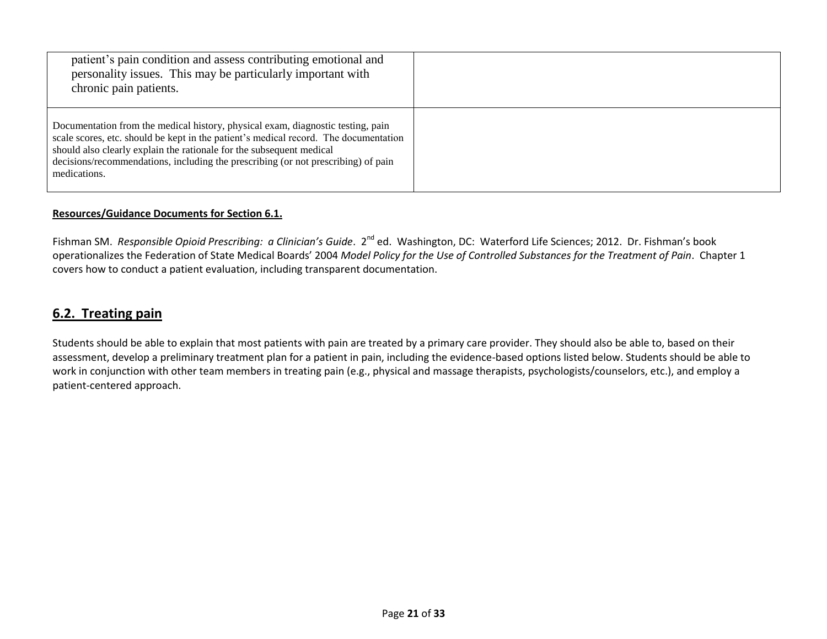| patient's pain condition and assess contributing emotional and<br>personality issues. This may be particularly important with<br>chronic pain patients.                                                                                                                                                                                              |  |
|------------------------------------------------------------------------------------------------------------------------------------------------------------------------------------------------------------------------------------------------------------------------------------------------------------------------------------------------------|--|
| Documentation from the medical history, physical exam, diagnostic testing, pain<br>scale scores, etc. should be kept in the patient's medical record. The documentation<br>should also clearly explain the rationale for the subsequent medical<br>decisions/recommendations, including the prescribing (or not prescribing) of pain<br>medications. |  |

#### **Resources/Guidance Documents for Section 6.1.**

Fishman SM. *Responsible Opioid Prescribing: a Clinician's Guide*. 2<sup>nd</sup> ed. Washington, DC: Waterford Life Sciences; 2012. Dr. Fishman's book operationalizes the Federation of State Medical Boards' 2004 *Model Policy for the Use of Controlled Substances for the Treatment of Pain*. Chapter 1 covers how to conduct a patient evaluation, including transparent documentation.

## **6.2. Treating pain**

Students should be able to explain that most patients with pain are treated by a primary care provider. They should also be able to, based on their assessment, develop a preliminary treatment plan for a patient in pain, including the evidence-based options listed below. Students should be able to work in conjunction with other team members in treating pain (e.g., physical and massage therapists, psychologists/counselors, etc.), and employ a patient-centered approach.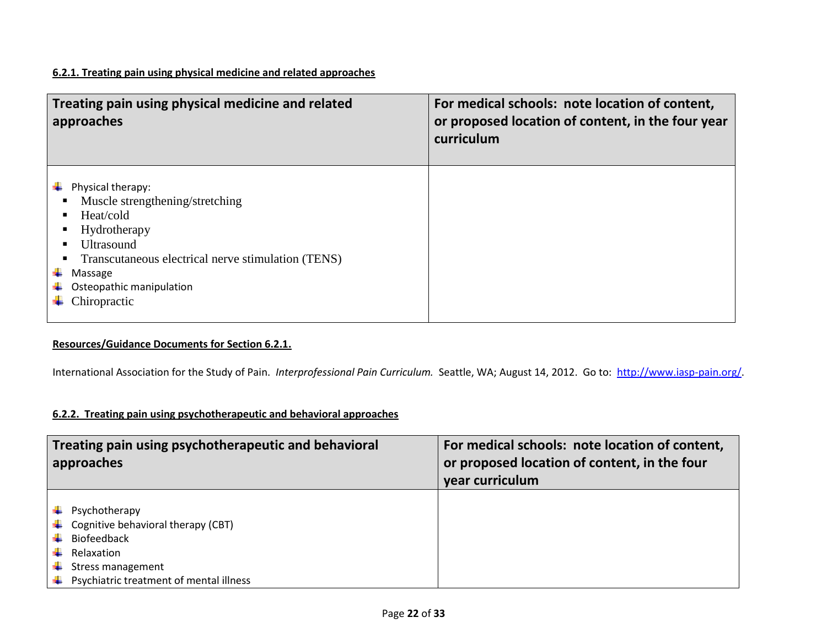#### **6.2.1. Treating pain using physical medicine and related approaches**

| Treating pain using physical medicine and related<br>approaches |                                                                                                                                                                                                                     | For medical schools: note location of content,<br>or proposed location of content, in the four year<br>curriculum |
|-----------------------------------------------------------------|---------------------------------------------------------------------------------------------------------------------------------------------------------------------------------------------------------------------|-------------------------------------------------------------------------------------------------------------------|
|                                                                 | Physical therapy:<br>Muscle strengthening/stretching<br>Heat/cold<br>Hydrotherapy<br><b>Ultrasound</b><br>Transcutaneous electrical nerve stimulation (TENS)<br>Massage<br>Osteopathic manipulation<br>Chiropractic |                                                                                                                   |

## **Resources/Guidance Documents for Section 6.2.1.**

International Association for the Study of Pain. *Interprofessional Pain Curriculum.* Seattle, WA; August 14, 2012. Go to: [http://www.iasp-pain.org/.](http://www.iasp-pain.org/)

## **6.2.2. Treating pain using psychotherapeutic and behavioral approaches**

| Treating pain using psychotherapeutic and behavioral<br>approaches                                                                                      | For medical schools: note location of content,<br>or proposed location of content, in the four<br>year curriculum |
|---------------------------------------------------------------------------------------------------------------------------------------------------------|-------------------------------------------------------------------------------------------------------------------|
| Psychotherapy<br>Cognitive behavioral therapy (CBT)<br><b>Biofeedback</b><br>Relaxation<br>Stress management<br>Psychiatric treatment of mental illness |                                                                                                                   |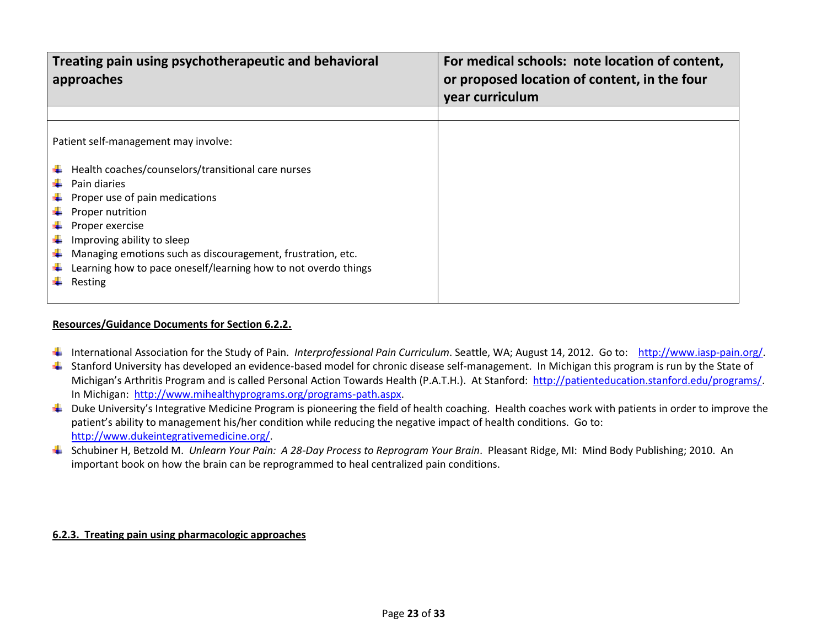| Treating pain using psychotherapeutic and behavioral<br>approaches                                                                                                                                                                                                                                                                                                 | For medical schools: note location of content,<br>or proposed location of content, in the four<br>year curriculum |
|--------------------------------------------------------------------------------------------------------------------------------------------------------------------------------------------------------------------------------------------------------------------------------------------------------------------------------------------------------------------|-------------------------------------------------------------------------------------------------------------------|
|                                                                                                                                                                                                                                                                                                                                                                    |                                                                                                                   |
| Patient self-management may involve:<br>Health coaches/counselors/transitional care nurses<br>Pain diaries<br>Proper use of pain medications<br>Proper nutrition<br>Proper exercise<br>Improving ability to sleep<br>Managing emotions such as discouragement, frustration, etc.<br>÷<br>Learning how to pace oneself/learning how to not overdo things<br>Resting |                                                                                                                   |

#### **Resources/Guidance Documents for Section 6.2.2.**

- International Association for the Study of Pain. *Interprofessional Pain Curriculum*. Seattle, WA; August 14, 2012. Go to: [http://www.iasp-pain.org/.](http://www.iasp-pain.org/)
- Stanford University has developed an evidence-based model for chronic disease self-management. In Michigan this program is run by the State of Michigan's Arthritis Program and is called Personal Action Towards Health (P.A.T.H.). At Stanford: http://patienteducation.stanford.edu/programs/ In Michigan: [http://www.mihealthyprograms.org/programs-path.aspx.](http://www.mihealthyprograms.org/programs-path.aspx)
- $\ddotplus$  Duke University's Integrative Medicine Program is pioneering the field of health coaching. Health coaches work with patients in order to improve the patient's ability to management his/her condition while reducing the negative impact of health conditions. Go to: [http://www.dukeintegrativemedicine.org/.](http://www.dukeintegrativemedicine.org/)
- Schubiner H, Betzold M. *Unlearn Your Pain: A 28-Day Process to Reprogram Your Brain*. Pleasant Ridge, MI: Mind Body Publishing; 2010. An important book on how the brain can be reprogrammed to heal centralized pain conditions.

#### **6.2.3. Treating pain using pharmacologic approaches**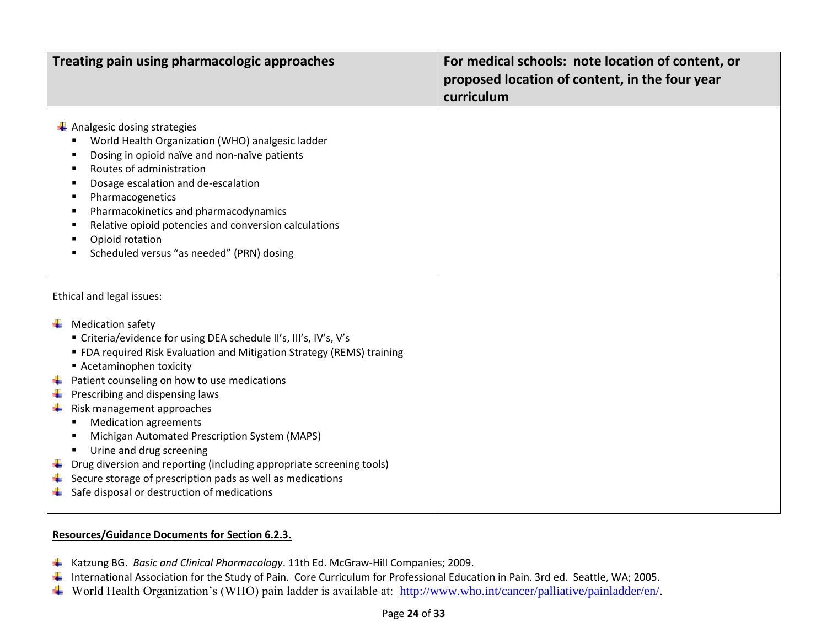| Treating pain using pharmacologic approaches                                                                                                                                                                                                                                                                                                                                                                                                                                                                                                                                                                                                                         | For medical schools: note location of content, or<br>proposed location of content, in the four year<br>curriculum |
|----------------------------------------------------------------------------------------------------------------------------------------------------------------------------------------------------------------------------------------------------------------------------------------------------------------------------------------------------------------------------------------------------------------------------------------------------------------------------------------------------------------------------------------------------------------------------------------------------------------------------------------------------------------------|-------------------------------------------------------------------------------------------------------------------|
| $\leftarrow$ Analgesic dosing strategies<br>World Health Organization (WHO) analgesic ladder<br>Dosing in opioid naïve and non-naïve patients<br>Routes of administration<br>Dosage escalation and de-escalation<br>Pharmacogenetics<br>Pharmacokinetics and pharmacodynamics<br>Relative opioid potencies and conversion calculations<br>Opioid rotation<br>Scheduled versus "as needed" (PRN) dosing                                                                                                                                                                                                                                                               |                                                                                                                   |
| Ethical and legal issues:<br>$\frac{1}{2}$ Medication safety<br>" Criteria/evidence for using DEA schedule II's, III's, IV's, V's<br>" FDA required Risk Evaluation and Mitigation Strategy (REMS) training<br>Acetaminophen toxicity<br>Patient counseling on how to use medications<br>Prescribing and dispensing laws<br>Risk management approaches<br>۰.<br><b>Medication agreements</b><br>Michigan Automated Prescription System (MAPS)<br>Urine and drug screening<br>Drug diversion and reporting (including appropriate screening tools)<br>Secure storage of prescription pads as well as medications<br>Safe disposal or destruction of medications<br>۰. |                                                                                                                   |

#### **Resources/Guidance Documents for Section 6.2.3.**

- Katzung BG. *Basic and Clinical Pharmacology*. 11th Ed. McGraw-Hill Companies; 2009.
- International Association for the Study of Pain. Core Curriculum for Professional Education in Pain. 3rd ed. Seattle, WA; 2005.
- World Health Organization's (WHO) pain ladder is available at: [http://www.who.int/cancer/palliative/painladder/en/.](http://www.who.int/cancer/palliative/painladder/en/)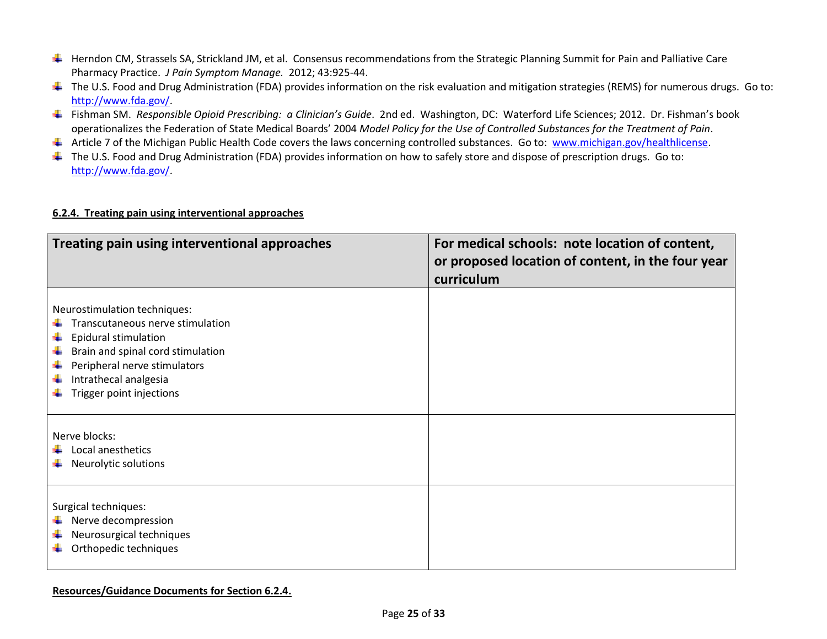- H Herndon CM, Strassels SA, Strickland JM, et al. Consensus recommendations from the Strategic Planning Summit for Pain and Palliative Care Pharmacy Practice. *J Pain Symptom Manage.* 2012; 43:925-44.
- The U.S. Food and Drug Administration (FDA) provides information on the risk evaluation and mitigation strategies (REMS) for numerous drugs. Go to: [http://www.fda.gov/.](http://www.fda.gov/)
- Fishman SM. *Responsible Opioid Prescribing: a Clinician's Guide*. 2nd ed. Washington, DC: Waterford Life Sciences; 2012. Dr. Fishman's book operationalizes the Federation of State Medical Boards' 2004 *Model Policy for the Use of Controlled Substances for the Treatment of Pain*.
- Article 7 of the Michigan Public Health Code covers the laws concerning controlled substances. Go to: [www.michigan.gov/healthlicense.](http://www.michigan.gov/healthlicense)
- $\pm$  The U.S. Food and Drug Administration (FDA) provides information on how to safely store and dispose of prescription drugs. Go to: [http://www.fda.gov/.](http://www.fda.gov/)

#### **6.2.4. Treating pain using interventional approaches**

| Treating pain using interventional approaches                                                                                                                                                                      | For medical schools: note location of content,<br>or proposed location of content, in the four year<br>curriculum |
|--------------------------------------------------------------------------------------------------------------------------------------------------------------------------------------------------------------------|-------------------------------------------------------------------------------------------------------------------|
| Neurostimulation techniques:<br>Transcutaneous nerve stimulation<br>Epidural stimulation<br>Brain and spinal cord stimulation<br>Peripheral nerve stimulators<br>Intrathecal analgesia<br>Trigger point injections |                                                                                                                   |
| Nerve blocks:<br>Local anesthetics<br>Neurolytic solutions                                                                                                                                                         |                                                                                                                   |
| Surgical techniques:<br>Nerve decompression<br>Neurosurgical techniques<br>Orthopedic techniques                                                                                                                   |                                                                                                                   |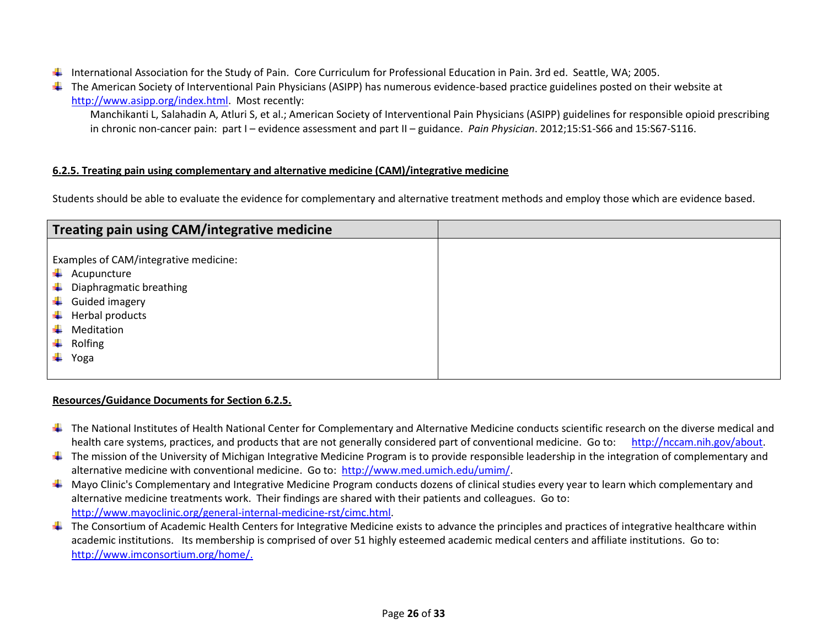- International Association for the Study of Pain. Core Curriculum for Professional Education in Pain. 3rd ed. Seattle, WA; 2005.
- The American Society of Interventional Pain Physicians (ASIPP) has numerous evidence-based practice guidelines posted on their website at [http://www.asipp.org/index.html.](http://www.asipp.org/index.html) Most recently:

Manchikanti L, Salahadin A, Atluri S, et al.; American Society of Interventional Pain Physicians (ASIPP) guidelines for responsible opioid prescribing in chronic non-cancer pain: part I – evidence assessment and part II – guidance. *Pain Physician*. 2012;15:S1-S66 and 15:S67-S116.

#### **6.2.5. Treating pain using complementary and alternative medicine (CAM)/integrative medicine**

Students should be able to evaluate the evidence for complementary and alternative treatment methods and employ those which are evidence based.

| <b>Treating pain using CAM/integrative medicine</b>                                                                                                                                      |  |
|------------------------------------------------------------------------------------------------------------------------------------------------------------------------------------------|--|
| Examples of CAM/integrative medicine:<br>÷<br>Acupuncture<br>÷<br>Diaphragmatic breathing<br>٠<br>Guided imagery<br>÷<br>Herbal products<br>÷<br>Meditation<br>÷<br>Rolfing<br>÷<br>Yoga |  |
|                                                                                                                                                                                          |  |

#### **Resources/Guidance Documents for Section 6.2.5.**

- **↓** The National Institutes of Health National Center for Complementary and Alternative Medicine conducts scientific research on the diverse medical and health care systems, practices, and products that are not generally considered part of conventional medicine. Go to: [http://nccam.nih.gov/about.](http://nccam.nih.gov/about)
- $\pm$  The mission of the University of Michigan Integrative Medicine Program is to provide responsible leadership in the integration of complementary and alternative medicine with conventional medicine. Go to: [http://www.med.umich.edu/umim/.](http://www.med.umich.edu/umim/)
- $\perp$  Mayo Clinic's Complementary and Integrative Medicine Program conducts dozens of clinical studies every year to learn which complementary and alternative medicine treatments work. Their findings are shared with their patients and colleagues. Go to: [http://www.mayoclinic.org/general-internal-medicine-rst/cimc.html.](http://www.mayoclinic.org/general-internal-medicine-rst/cimc.html)
- $\ddot{\phantom{a}}$  The Consortium of Academic Health Centers for Integrative Medicine exists to advance the principles and practices of integrative healthcare within academic institutions. Its membership is comprised of over 51 highly esteemed academic medical centers and affiliate institutions. Go to: [http://www.imconsortium.org/home/.](http://www.imconsortium.org/home/)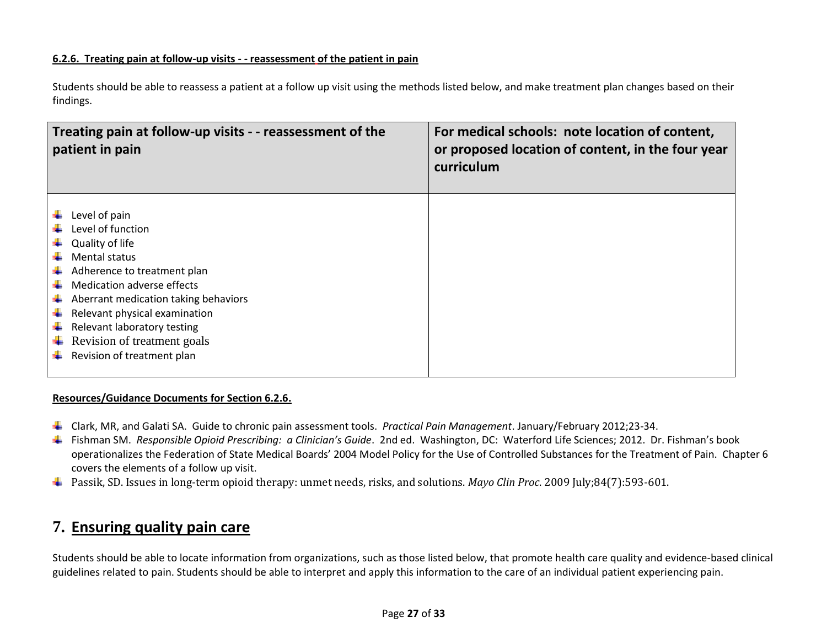#### **6.2.6. Treating pain at follow-up visits - - reassessment of the patient in pain**

Students should be able to reassess a patient at a follow up visit using the methods listed below, and make treatment plan changes based on their findings.

| Treating pain at follow-up visits - - reassessment of the<br>patient in pain |                                                                                                                                                                                                                                                                                                                 | For medical schools: note location of content,<br>or proposed location of content, in the four year<br>curriculum |
|------------------------------------------------------------------------------|-----------------------------------------------------------------------------------------------------------------------------------------------------------------------------------------------------------------------------------------------------------------------------------------------------------------|-------------------------------------------------------------------------------------------------------------------|
| ÷                                                                            | Level of pain<br>Level of function<br>Quality of life<br><b>Mental status</b><br>Adherence to treatment plan<br>Medication adverse effects<br>Aberrant medication taking behaviors<br>Relevant physical examination<br>Relevant laboratory testing<br>Revision of treatment goals<br>Revision of treatment plan |                                                                                                                   |

#### **Resources/Guidance Documents for Section 6.2.6.**

- Clark, MR, and Galati SA. Guide to chronic pain assessment tools. *Practical Pain Management*. January/February 2012;23-34.
- Fishman SM. *Responsible Opioid Prescribing: a Clinician's Guide*. 2nd ed. Washington, DC: Waterford Life Sciences; 2012. Dr. Fishman's book operationalizes the Federation of State Medical Boards' 2004 Model Policy for the Use of Controlled Substances for the Treatment of Pain. Chapter 6 covers the elements of a follow up visit.
- Passik, SD. Issues in long-term opioid therapy: unmet needs, risks, and solutions. *Mayo Clin Proc*. 2009 July;84(7):593-601.

# **7. Ensuring quality pain care**

Students should be able to locate information from organizations, such as those listed below, that promote health care quality and evidence-based clinical guidelines related to pain. Students should be able to interpret and apply this information to the care of an individual patient experiencing pain.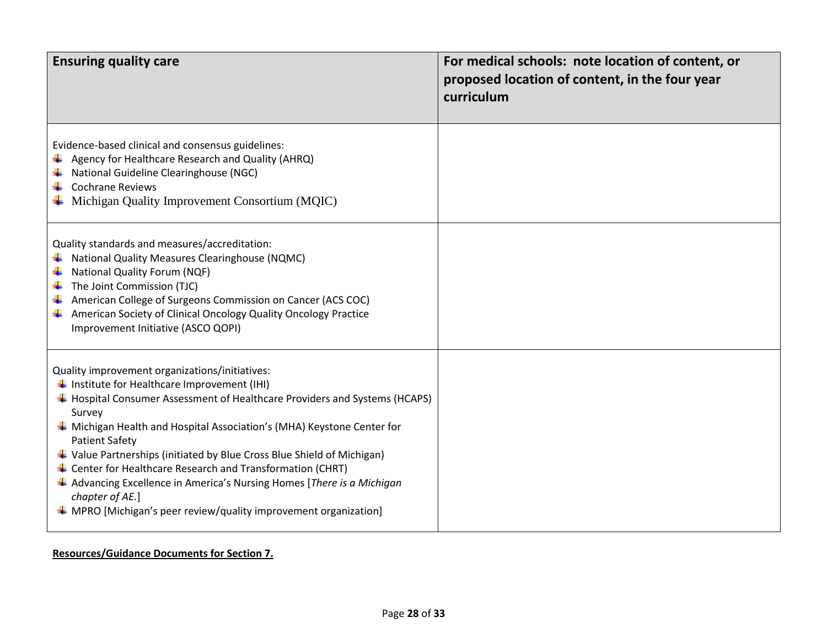| <b>Ensuring quality care</b>                                                                                                                                                                                                                                                                                                                                                                                                                                                                                                                                                                                                         | For medical schools: note location of content, or<br>proposed location of content, in the four year<br>curriculum |
|--------------------------------------------------------------------------------------------------------------------------------------------------------------------------------------------------------------------------------------------------------------------------------------------------------------------------------------------------------------------------------------------------------------------------------------------------------------------------------------------------------------------------------------------------------------------------------------------------------------------------------------|-------------------------------------------------------------------------------------------------------------------|
| Evidence-based clinical and consensus guidelines:<br>$\downarrow$ Agency for Healthcare Research and Quality (AHRQ)<br>National Guideline Clearinghouse (NGC)<br><b>Cochrane Reviews</b><br>$\overline{\phantom{a}}$ Michigan Quality Improvement Consortium (MQIC)                                                                                                                                                                                                                                                                                                                                                                  |                                                                                                                   |
| Quality standards and measures/accreditation:<br>National Quality Measures Clearinghouse (NQMC)<br>National Quality Forum (NQF)<br>The Joint Commission (TJC)<br>÷<br>American College of Surgeons Commission on Cancer (ACS COC)<br>American Society of Clinical Oncology Quality Oncology Practice<br>۰.<br>Improvement Initiative (ASCO QOPI)                                                                                                                                                                                                                                                                                     |                                                                                                                   |
| Quality improvement organizations/initiatives:<br>$\frac{1}{2}$ Institute for Healthcare Improvement (IHI)<br>↓ Hospital Consumer Assessment of Healthcare Providers and Systems (HCAPS)<br>Survey<br>$\ddot{*}$ Michigan Health and Hospital Association's (MHA) Keystone Center for<br><b>Patient Safety</b><br>Value Partnerships (initiated by Blue Cross Blue Shield of Michigan)<br>$\ddag$ Center for Healthcare Research and Transformation (CHRT)<br>Advancing Excellence in America's Nursing Homes [There is a Michigan<br>chapter of AE.]<br>$\triangleq$ MPRO [Michigan's peer review/quality improvement organization] |                                                                                                                   |

## **Resources/Guidance Documents for Section 7.**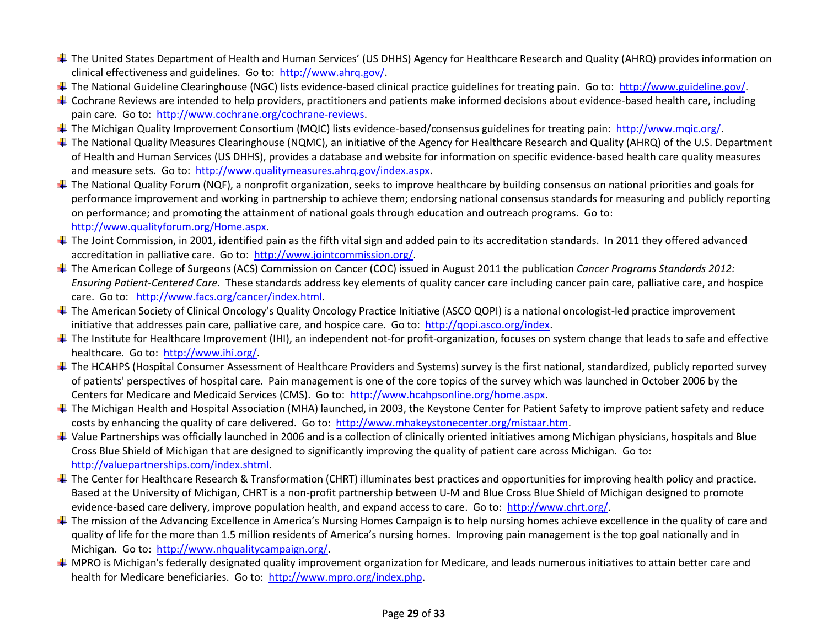- ↓ The United States Department of Health and Human Services' (US DHHS) Agency for Healthcare Research and Quality (AHRQ) provides information on clinical effectiveness and guidelines. Go to: [http://www.ahrq.gov/.](http://www.ahrq.gov/)
- The National Guideline Clearinghouse (NGC) lists evidence-based clinical practice guidelines for treating pain. Go to: [http://www.guideline.gov/.](http://www.guideline.gov/)
- $\ddotplus$  Cochrane Reviews are intended to help providers, practitioners and patients make informed decisions about evidence-based health care, including pain care. Go to: [http://www.cochrane.org/cochrane-reviews.](http://www.cochrane.org/cochrane-reviews)
- The Michigan Quality Improvement Consortium (MQIC) lists evidence-based/consensus guidelines for treating pain: [http://www.mqic.org/.](http://www.mqic.org/)
- ↓ The National Quality Measures Clearinghouse (NQMC), an initiative of the Agency for Healthcare Research and Quality (AHRQ) of the U.S. Department of Health and Human Services (US DHHS), provides a database and website for information on specific evidence-based health care quality measures and measure sets. Go to: [http://www.qualitymeasures.ahrq.gov/index.aspx.](http://www.qualitymeasures.ahrq.gov/index.aspx)
- $\pm$  The National Quality Forum (NQF), a nonprofit organization, seeks to improve healthcare by building consensus on national priorities and goals for performance improvement and working in partnership to achieve them; endorsing national consensus standards for measuring and publicly reporting on performance; and promoting the attainment of national goals through education and outreach programs. Go to: [http://www.qualityforum.org/Home.aspx.](http://www.qualityforum.org/Home.aspx)
- The Joint Commission, in 2001, identified pain as the fifth vital sign and added pain to its accreditation standards. In 2011 they offered advanced accreditation in palliative care. Go to: [http://www.jointcommission.org/.](http://www.jointcommission.org/)
- The American College of Surgeons (ACS) Commission on Cancer (COC) issued in August 2011 the publication *Cancer Programs Standards 2012: Ensuring Patient-Centered Care*. These standards address key elements of quality cancer care including cancer pain care, palliative care, and hospice care. Go to: [http://www.facs.org/cancer/index.html.](http://www.facs.org/cancer/index.html)
- **↓** The American Society of Clinical Oncology's Quality Oncology Practice Initiative (ASCO QOPI) is a national oncologist-led practice improvement initiative that addresses pain care, palliative care, and hospice care. Go to: [http://qopi.asco.org/index.](http://qopi.asco.org/index)
- $\ddotplus$  The Institute for Healthcare Improvement (IHI), an independent not-for profit-organization, focuses on system change that leads to safe and effective healthcare. Go to: [http://www.ihi.org/.](http://www.ihi.org/)
- ↓ The HCAHPS (Hospital Consumer Assessment of Healthcare Providers and Systems) survey is the first national, standardized, publicly reported survey of patients' perspectives of hospital care. Pain management is one of the core topics of the survey which was launched in October 2006 by the Centers for Medicare and Medicaid Services (CMS). Go to: [http://www.hcahpsonline.org/home.aspx.](http://www.hcahpsonline.org/home.aspx)
- ↓ The Michigan Health and Hospital Association (MHA) launched, in 2003, the Keystone Center for Patient Safety to improve patient safety and reduce costs by enhancing the quality of care delivered. Go to: [http://www.mhakeystonecenter.org/mistaar.htm.](http://www.mhakeystonecenter.org/mistaar.htm)
- $\ddag$  Value Partnerships was officially launched in 2006 and is a collection of clinically oriented initiatives among Michigan physicians, hospitals and Blue Cross Blue Shield of Michigan that are designed to significantly improving the quality of patient care across Michigan. Go to: [http://valuepartnerships.com/index.shtml.](http://valuepartnerships.com/index.shtml)
- $\pm$  The Center for Healthcare Research & Transformation (CHRT) illuminates best practices and opportunities for improving health policy and practice. Based at the University of Michigan, CHRT is a non-profit partnership between U-M and Blue Cross Blue Shield of Michigan designed to promote evidence-based care delivery, improve population health, and expand access to care. Go to: [http://www.chrt.org/.](http://www.chrt.org/)
- The mission of the Advancing Excellence in America's Nursing Homes Campaign is to help nursing homes achieve excellence in the quality of care and quality of life for the more than 1.5 million residents of America's nursing homes. Improving pain management is the top goal nationally and in Michigan. Go to: [http://www.nhqualitycampaign.org/.](http://www.nhqualitycampaign.org/)
- $\ddotplus$  MPRO is Michigan's federally designated quality improvement organization for Medicare, and leads numerous initiatives to attain better care and health for Medicare beneficiaries. Go to: [http://www.mpro.org/index.php.](http://www.mpro.org/index.php)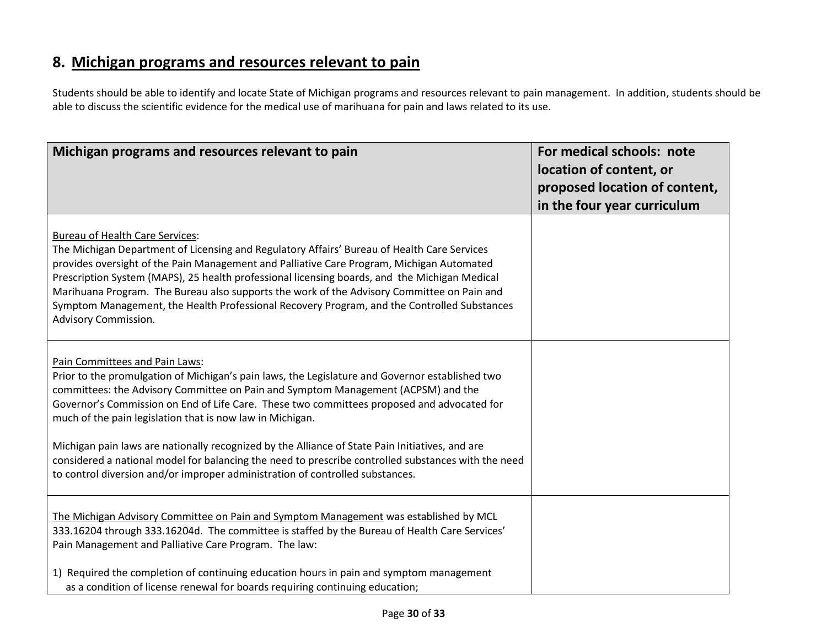# **8. Michigan programs and resources relevant to pain**

Students should be able to identify and locate State of Michigan programs and resources relevant to pain management. In addition, students should be able to discuss the scientific evidence for the medical use of marihuana for pain and laws related to its use.

| Michigan programs and resources relevant to pain                                                                                                                                                                                                                                                                                                                                                                                                                                                                                                         | For medical schools: note<br>location of content, or<br>proposed location of content,<br>in the four year curriculum |
|----------------------------------------------------------------------------------------------------------------------------------------------------------------------------------------------------------------------------------------------------------------------------------------------------------------------------------------------------------------------------------------------------------------------------------------------------------------------------------------------------------------------------------------------------------|----------------------------------------------------------------------------------------------------------------------|
| <b>Bureau of Health Care Services:</b><br>The Michigan Department of Licensing and Regulatory Affairs' Bureau of Health Care Services<br>provides oversight of the Pain Management and Palliative Care Program, Michigan Automated<br>Prescription System (MAPS), 25 health professional licensing boards, and the Michigan Medical<br>Marihuana Program. The Bureau also supports the work of the Advisory Committee on Pain and<br>Symptom Management, the Health Professional Recovery Program, and the Controlled Substances<br>Advisory Commission. |                                                                                                                      |
| Pain Committees and Pain Laws:<br>Prior to the promulgation of Michigan's pain laws, the Legislature and Governor established two<br>committees: the Advisory Committee on Pain and Symptom Management (ACPSM) and the<br>Governor's Commission on End of Life Care. These two committees proposed and advocated for<br>much of the pain legislation that is now law in Michigan.                                                                                                                                                                        |                                                                                                                      |
| Michigan pain laws are nationally recognized by the Alliance of State Pain Initiatives, and are<br>considered a national model for balancing the need to prescribe controlled substances with the need<br>to control diversion and/or improper administration of controlled substances.                                                                                                                                                                                                                                                                  |                                                                                                                      |
| The Michigan Advisory Committee on Pain and Symptom Management was established by MCL<br>333.16204 through 333.16204d. The committee is staffed by the Bureau of Health Care Services'<br>Pain Management and Palliative Care Program. The law:                                                                                                                                                                                                                                                                                                          |                                                                                                                      |
| 1) Required the completion of continuing education hours in pain and symptom management<br>as a condition of license renewal for boards requiring continuing education;                                                                                                                                                                                                                                                                                                                                                                                  |                                                                                                                      |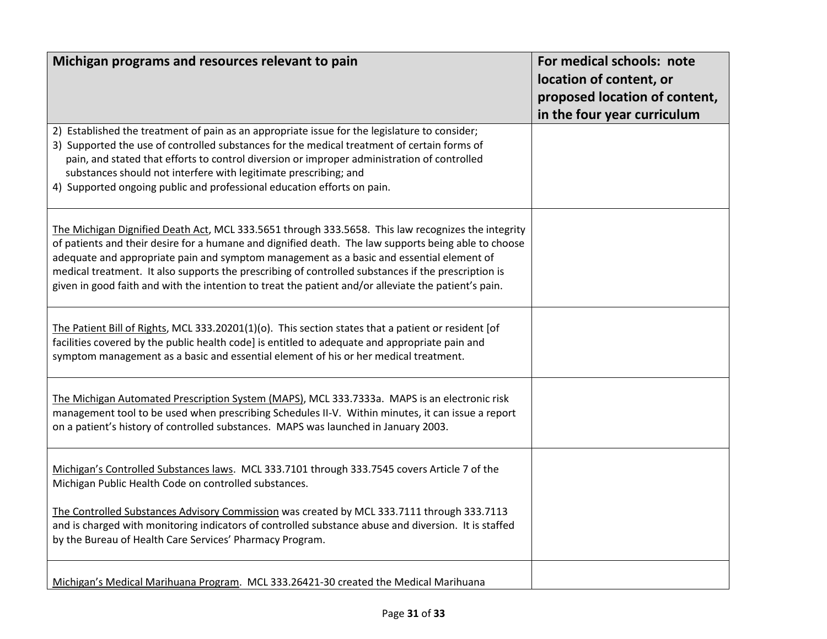| Michigan programs and resources relevant to pain                                                                                                                                                                                                                                                                                                                                                                                                                                                                      | For medical schools: note<br>location of content, or<br>proposed location of content,<br>in the four year curriculum |
|-----------------------------------------------------------------------------------------------------------------------------------------------------------------------------------------------------------------------------------------------------------------------------------------------------------------------------------------------------------------------------------------------------------------------------------------------------------------------------------------------------------------------|----------------------------------------------------------------------------------------------------------------------|
| 2) Established the treatment of pain as an appropriate issue for the legislature to consider;<br>3) Supported the use of controlled substances for the medical treatment of certain forms of<br>pain, and stated that efforts to control diversion or improper administration of controlled<br>substances should not interfere with legitimate prescribing; and<br>4) Supported ongoing public and professional education efforts on pain.                                                                            |                                                                                                                      |
| The Michigan Dignified Death Act, MCL 333.5651 through 333.5658. This law recognizes the integrity<br>of patients and their desire for a humane and dignified death. The law supports being able to choose<br>adequate and appropriate pain and symptom management as a basic and essential element of<br>medical treatment. It also supports the prescribing of controlled substances if the prescription is<br>given in good faith and with the intention to treat the patient and/or alleviate the patient's pain. |                                                                                                                      |
| The Patient Bill of Rights, MCL 333.20201(1)(o). This section states that a patient or resident [of<br>facilities covered by the public health code] is entitled to adequate and appropriate pain and<br>symptom management as a basic and essential element of his or her medical treatment.                                                                                                                                                                                                                         |                                                                                                                      |
| The Michigan Automated Prescription System (MAPS), MCL 333.7333a. MAPS is an electronic risk<br>management tool to be used when prescribing Schedules II-V. Within minutes, it can issue a report<br>on a patient's history of controlled substances. MAPS was launched in January 2003.                                                                                                                                                                                                                              |                                                                                                                      |
| Michigan's Controlled Substances laws. MCL 333.7101 through 333.7545 covers Article 7 of the<br>Michigan Public Health Code on controlled substances.                                                                                                                                                                                                                                                                                                                                                                 |                                                                                                                      |
| The Controlled Substances Advisory Commission was created by MCL 333.7111 through 333.7113<br>and is charged with monitoring indicators of controlled substance abuse and diversion. It is staffed<br>by the Bureau of Health Care Services' Pharmacy Program.                                                                                                                                                                                                                                                        |                                                                                                                      |
| Michigan's Medical Marihuana Program. MCL 333.26421-30 created the Medical Marihuana                                                                                                                                                                                                                                                                                                                                                                                                                                  |                                                                                                                      |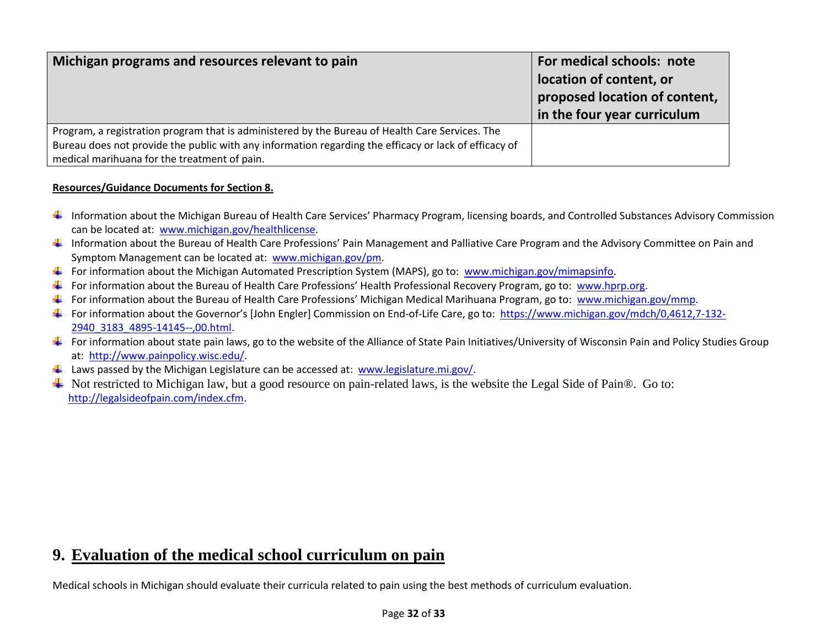| Michigan programs and resources relevant to pain                                                                                                                                                                                                         | For medical schools: note<br>location of content, or<br>proposed location of content,<br>in the four year curriculum |
|----------------------------------------------------------------------------------------------------------------------------------------------------------------------------------------------------------------------------------------------------------|----------------------------------------------------------------------------------------------------------------------|
| Program, a registration program that is administered by the Bureau of Health Care Services. The<br>Bureau does not provide the public with any information regarding the efficacy or lack of efficacy of<br>medical marihuana for the treatment of pain. |                                                                                                                      |

#### **Resources/Guidance Documents for Section 8.**

- ↓ Information about the Michigan Bureau of Health Care Services' Pharmacy Program, licensing boards, and Controlled Substances Advisory Commission can be located at: [www.michigan.gov/healthlicense.](http://www.michigan.gov/healthlicense)
- Information about the Bureau of Health Care Professions' Pain Management and Palliative Care Program and the Advisory Committee on Pain and Symptom Management can be located at: [www.michigan.gov/pm.](http://www.michigan.gov/pm)
- For information about the Michigan Automated Prescription System (MAPS), go to: [www.michigan.gov/mimapsinfo.](http://www.michigan.gov/mimapsinfo)
- For information about the Bureau of Health Care Professions' Health Professional Recovery Program, go to: [www.hprp.org.](http://www.hprp.org/)
- For information about the Bureau of Health Care Professions' Michigan Medical Marihuana Program, go to: [www.michigan.gov/mmp.](http://www.michigan.gov/mmp)
- For information about the Governor's [John Engler] Commission on End-of-Life Care, go to: [https://www.michigan.gov/mdch/0,4612,7-132-](https://www.michigan.gov/mdch/0,4612,7-132-2940_3183_4895-14145--,00.html) [2940\\_3183\\_4895-14145--,00.html.](https://www.michigan.gov/mdch/0,4612,7-132-2940_3183_4895-14145--,00.html)
- For information about state pain laws, go to the website of the Alliance of State Pain Initiatives/University of Wisconsin Pain and Policy Studies Group at: [http://www.painpolicy.wisc.edu/.](http://www.painpolicy.wisc.edu/)
- $\perp$  Laws passed by the Michigan Legislature can be accessed at: [www.legislature.mi.gov/.](http://www.legislature.mi.gov/)
- $\overline{\phantom{a}}$  Not restricted to Michigan law, but a good resource on pain-related laws, is the website the Legal Side of Pain®. Go to: [http://legalsideofpain.com/index.cfm.](http://legalsideofpain.com/index.cfm)

# **9. Evaluation of the medical school curriculum on pain**

Medical schools in Michigan should evaluate their curricula related to pain using the best methods of curriculum evaluation.